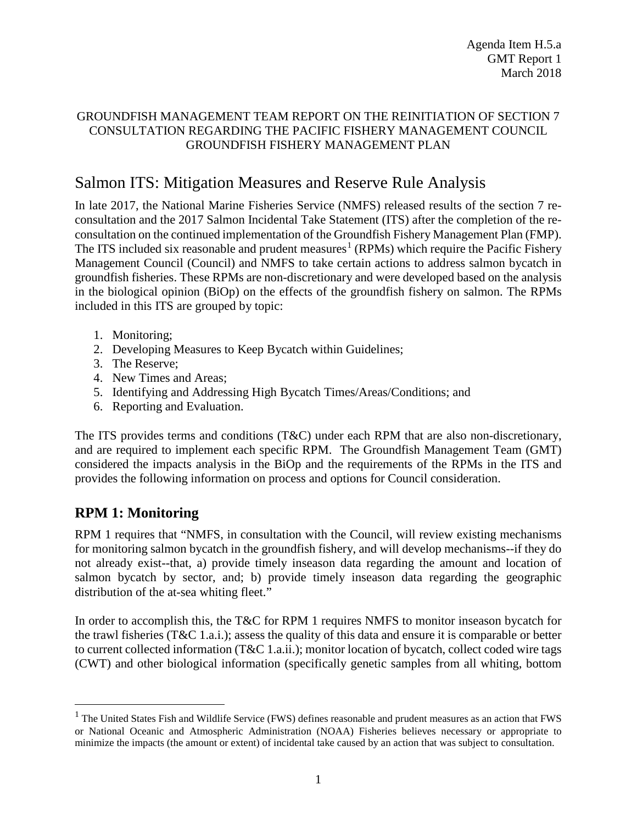## GROUNDFISH MANAGEMENT TEAM REPORT ON THE REINITIATION OF SECTION 7 CONSULTATION REGARDING THE PACIFIC FISHERY MANAGEMENT COUNCIL GROUNDFISH FISHERY MANAGEMENT PLAN

# Salmon ITS: Mitigation Measures and Reserve Rule Analysis

In late 2017, the National Marine Fisheries Service (NMFS) released results of the section 7 reconsultation and the 2017 Salmon Incidental Take Statement (ITS) after the completion of the reconsultation on the continued implementation of the Groundfish Fishery Management Plan (FMP). The ITS included six reasonable and prudent measures<sup>[1](#page-0-0)</sup> (RPMs) which require the Pacific Fishery Management Council (Council) and NMFS to take certain actions to address salmon bycatch in groundfish fisheries. These RPMs are non-discretionary and were developed based on the analysis in the biological opinion (BiOp) on the effects of the groundfish fishery on salmon. The RPMs included in this ITS are grouped by topic:

- 1. Monitoring;
- 2. Developing Measures to Keep Bycatch within Guidelines;
- 3. The Reserve;
- 4. New Times and Areas;
- 5. Identifying and Addressing High Bycatch Times/Areas/Conditions; and
- 6. Reporting and Evaluation.

The ITS provides terms and conditions (T&C) under each RPM that are also non-discretionary, and are required to implement each specific RPM. The Groundfish Management Team (GMT) considered the impacts analysis in the BiOp and the requirements of the RPMs in the ITS and provides the following information on process and options for Council consideration.

# **RPM 1: Monitoring**

RPM 1 requires that "NMFS, in consultation with the Council, will review existing mechanisms for monitoring salmon bycatch in the groundfish fishery, and will develop mechanisms--if they do not already exist--that, a) provide timely inseason data regarding the amount and location of salmon bycatch by sector, and; b) provide timely inseason data regarding the geographic distribution of the at-sea whiting fleet."

In order to accomplish this, the T&C for RPM 1 requires NMFS to monitor inseason bycatch for the trawl fisheries (T&C 1.a.i.); assess the quality of this data and ensure it is comparable or better to current collected information (T&C 1.a.ii.); monitor location of bycatch, collect coded wire tags (CWT) and other biological information (specifically genetic samples from all whiting, bottom

<span id="page-0-0"></span> $<sup>1</sup>$  The United States Fish and Wildlife Service (FWS) defines reasonable and prudent measures as an action that FWS</sup> or National Oceanic and Atmospheric Administration (NOAA) Fisheries believes necessary or appropriate to minimize the impacts (the amount or extent) of incidental take caused by an action that was subject to consultation.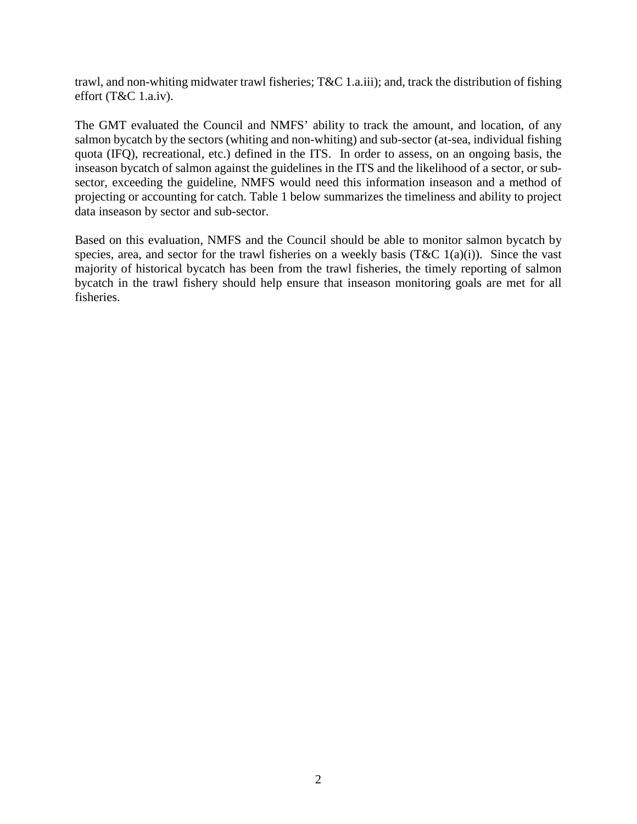trawl, and non-whiting midwater trawl fisheries; T&C 1.a.iii); and, track the distribution of fishing effort (T&C 1.a.iv).

The GMT evaluated the Council and NMFS' ability to track the amount, and location, of any salmon bycatch by the sectors (whiting and non-whiting) and sub-sector (at-sea, individual fishing quota (IFQ), recreational, etc.) defined in the ITS. In order to assess, on an ongoing basis, the inseason bycatch of salmon against the guidelines in the ITS and the likelihood of a sector, or subsector, exceeding the guideline, NMFS would need this information inseason and a method of projecting or accounting for catch. [Table 1](#page-2-0) below summarizes the timeliness and ability to project data inseason by sector and sub-sector.

Based on this evaluation, NMFS and the Council should be able to monitor salmon bycatch by species, area, and sector for the trawl fisheries on a weekly basis (T&C 1(a)(i)). Since the vast majority of historical bycatch has been from the trawl fisheries, the timely reporting of salmon bycatch in the trawl fishery should help ensure that inseason monitoring goals are met for all fisheries.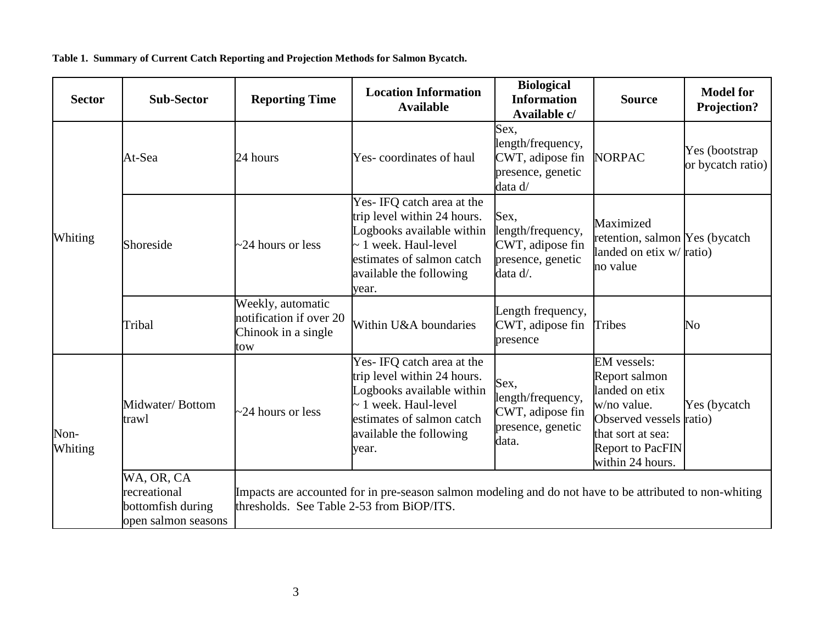**Table 1. Summary of Current Catch Reporting and Projection Methods for Salmon Bycatch.**

<span id="page-2-0"></span>

| <b>Sector</b>   | <b>Sub-Sector</b>                                                      | <b>Location Information</b><br><b>Reporting Time</b><br><b>Available</b>   |                                                                                                                                                                                      | <b>Biological</b><br><b>Information</b><br>Available c/                        | <b>Source</b>                                                                                                                                                       | <b>Model for</b><br><b>Projection?</b> |
|-----------------|------------------------------------------------------------------------|----------------------------------------------------------------------------|--------------------------------------------------------------------------------------------------------------------------------------------------------------------------------------|--------------------------------------------------------------------------------|---------------------------------------------------------------------------------------------------------------------------------------------------------------------|----------------------------------------|
|                 | At-Sea                                                                 | 24 hours                                                                   | Yes-coordinates of haul                                                                                                                                                              | Sex.<br>length/frequency,<br>CWT, adipose fin<br>presence, genetic<br>data d/  | <b>NORPAC</b>                                                                                                                                                       | Yes (bootstrap<br>or bycatch ratio)    |
| Whiting         | Shoreside                                                              | $\sim$ 24 hours or less                                                    | Yes- IFQ catch area at the<br>trip level within 24 hours.<br>Logbooks available within<br>$\sim$ 1 week. Haul-level<br>estimates of salmon catch<br>available the following<br>year. | Sex,<br>length/frequency,<br>CWT, adipose fin<br>presence, genetic<br>data d/. | Maximized<br>retention, salmon Yes (bycatch<br>landed on etix w/ ratio)<br>no value                                                                                 |                                        |
|                 | Tribal                                                                 | Weekly, automatic<br>notification if over 20<br>Chinook in a single<br>tow | Within U&A boundaries                                                                                                                                                                | Length frequency,<br>CWT, adipose fin<br>presence                              | <b>Tribes</b>                                                                                                                                                       | No                                     |
| Non-<br>Whiting | Midwater/Bottom<br>trawl                                               | $\sim$ 24 hours or less                                                    | Yes- IFQ catch area at the<br>trip level within 24 hours.<br>Logbooks available within<br>$\sim$ 1 week. Haul-level<br>estimates of salmon catch<br>available the following<br>year. | Sex,<br>length/frequency,<br>CWT, adipose fin<br>presence, genetic<br>data.    | <b>EM</b> vessels:<br>Report salmon<br>landed on etix<br>w/no value.<br>Observed vessels ratio)<br>that sort at sea:<br><b>Report to PacFIN</b><br>within 24 hours. | Yes (bycatch                           |
|                 | WA, OR, CA<br>recreational<br>bottomfish during<br>open salmon seasons | thresholds. See Table 2-53 from BiOP/ITS.                                  | Impacts are accounted for in pre-season salmon modeling and do not have to be attributed to non-whiting                                                                              |                                                                                |                                                                                                                                                                     |                                        |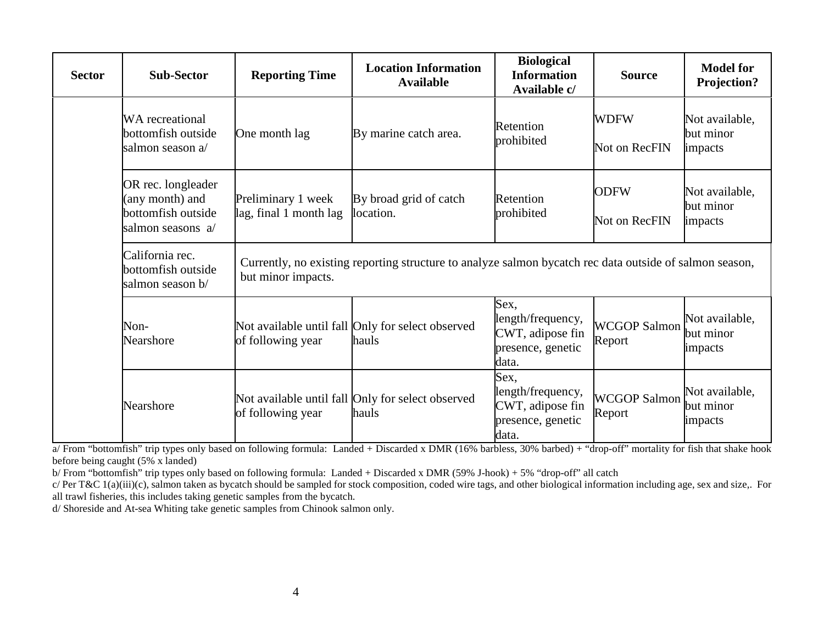| <b>Sector</b> | <b>Sub-Sector</b>                                                                | <b>Reporting Time</b>                        | <b>Location Information</b><br><b>Available</b>                                                         | <b>Biological</b><br><b>Information</b><br>Available c/                     | <b>Source</b>                 | <b>Model for</b><br>Projection?        |
|---------------|----------------------------------------------------------------------------------|----------------------------------------------|---------------------------------------------------------------------------------------------------------|-----------------------------------------------------------------------------|-------------------------------|----------------------------------------|
|               | <b>WA</b> recreational<br>bottomfish outside<br>salmon season a/                 | One month lag                                | By marine catch area.                                                                                   | Retention<br>prohibited                                                     | <b>WDFW</b><br>Not on RecFIN  | Not available,<br>but minor<br>impacts |
|               | OR rec. longleader<br>(any month) and<br>bottomfish outside<br>salmon seasons a/ | Preliminary 1 week<br>lag, final 1 month lag | By broad grid of catch<br>location.                                                                     | Retention<br>prohibited                                                     | <b>ODFW</b><br>Not on RecFIN  | Not available,<br>but minor<br>impacts |
|               | California rec.<br>bottomfish outside<br>salmon season b/                        | but minor impacts.                           | Currently, no existing reporting structure to analyze salmon bycatch rec data outside of salmon season, |                                                                             |                               |                                        |
|               | Non-<br>Nearshore                                                                | of following year                            | Not available until fall Only for select observed<br>hauls                                              | Sex,<br>length/frequency,<br>CWT, adipose fin<br>presence, genetic<br>data. | <b>WCGOP Salmon</b><br>Report | Not available,<br>but minor<br>impacts |
|               | Nearshore<br>of following year                                                   |                                              | Not available until fall Only for select observed<br>hauls                                              | Sex,<br>length/frequency,<br>CWT, adipose fin<br>presence, genetic<br>data. | <b>WCGOP Salmon</b><br>Report | Not available,<br>but minor<br>impacts |

a/ From "bottomfish" trip types only based on following formula: Landed + Discarded x DMR (16% barbless, 30% barbed) + "drop-off" mortality for fish that shake hook before being caught (5% x landed)

b/ From "bottomfish" trip types only based on following formula: Landed + Discarded x DMR (59% J-hook) + 5% "drop-off" all catch

c/ Per T&C 1(a)(iii)(c), salmon taken as bycatch should be sampled for stock composition, coded wire tags, and other biological information including age, sex and size,. For all trawl fisheries, this includes taking genetic samples from the bycatch.

d/ Shoreside and At-sea Whiting take genetic samples from Chinook salmon only.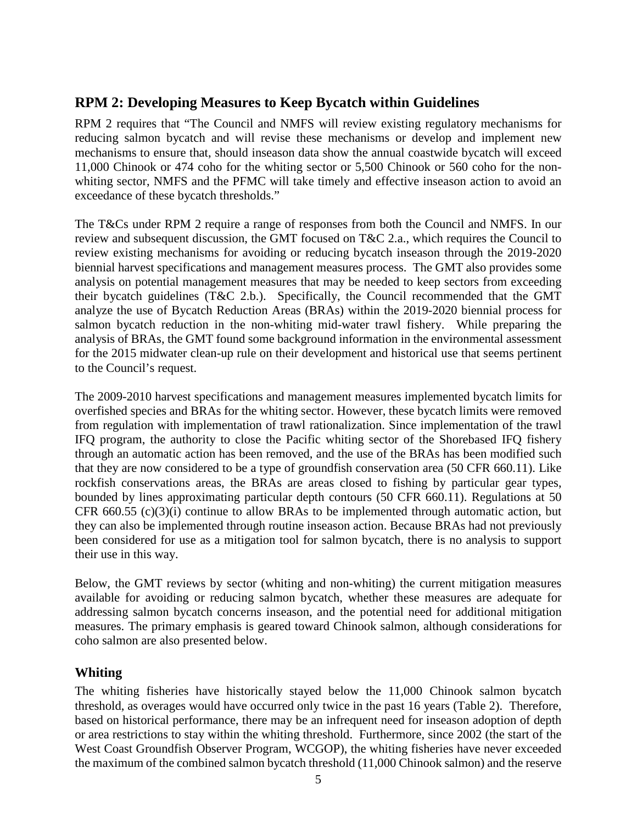# **RPM 2: Developing Measures to Keep Bycatch within Guidelines**

RPM 2 requires that "The Council and NMFS will review existing regulatory mechanisms for reducing salmon bycatch and will revise these mechanisms or develop and implement new mechanisms to ensure that, should inseason data show the annual coastwide bycatch will exceed 11,000 Chinook or 474 coho for the whiting sector or 5,500 Chinook or 560 coho for the nonwhiting sector, NMFS and the PFMC will take timely and effective inseason action to avoid an exceedance of these bycatch thresholds."

The T&Cs under RPM 2 require a range of responses from both the Council and NMFS. In our review and subsequent discussion, the GMT focused on T&C 2.a., which requires the Council to review existing mechanisms for avoiding or reducing bycatch inseason through the 2019-2020 biennial harvest specifications and management measures process. The GMT also provides some analysis on potential management measures that may be needed to keep sectors from exceeding their bycatch guidelines (T&C 2.b.). Specifically, the Council recommended that the GMT analyze the use of Bycatch Reduction Areas (BRAs) within the 2019-2020 biennial process for salmon bycatch reduction in the non-whiting mid-water trawl fishery. While preparing the analysis of BRAs, the GMT found some background information in the environmental assessment for the 2015 midwater clean-up rule on their development and historical use that seems pertinent to the Council's request.

The 2009-2010 harvest specifications and management measures implemented bycatch limits for overfished species and BRAs for the whiting sector. However, these bycatch limits were removed from regulation with implementation of trawl rationalization. Since implementation of the trawl IFQ program, the authority to close the Pacific whiting sector of the Shorebased IFQ fishery through an automatic action has been removed, and the use of the BRAs has been modified such that they are now considered to be a type of groundfish conservation area (50 CFR 660.11). Like rockfish conservations areas, the BRAs are areas closed to fishing by particular gear types, bounded by lines approximating particular depth contours (50 CFR 660.11). Regulations at 50 CFR 660.55 (c)(3)(i) continue to allow BRAs to be implemented through automatic action, but they can also be implemented through routine inseason action. Because BRAs had not previously been considered for use as a mitigation tool for salmon bycatch, there is no analysis to support their use in this way.

Below, the GMT reviews by sector (whiting and non-whiting) the current mitigation measures available for avoiding or reducing salmon bycatch, whether these measures are adequate for addressing salmon bycatch concerns inseason, and the potential need for additional mitigation measures. The primary emphasis is geared toward Chinook salmon, although considerations for coho salmon are also presented below.

## **Whiting**

The whiting fisheries have historically stayed below the 11,000 Chinook salmon bycatch threshold, as overages would have occurred only twice in the past 16 years [\(Table 2\)](#page-5-0). Therefore, based on historical performance, there may be an infrequent need for inseason adoption of depth or area restrictions to stay within the whiting threshold. Furthermore, since 2002 (the start of the West Coast Groundfish Observer Program, WCGOP), the whiting fisheries have never exceeded the maximum of the combined salmon bycatch threshold (11,000 Chinook salmon) and the reserve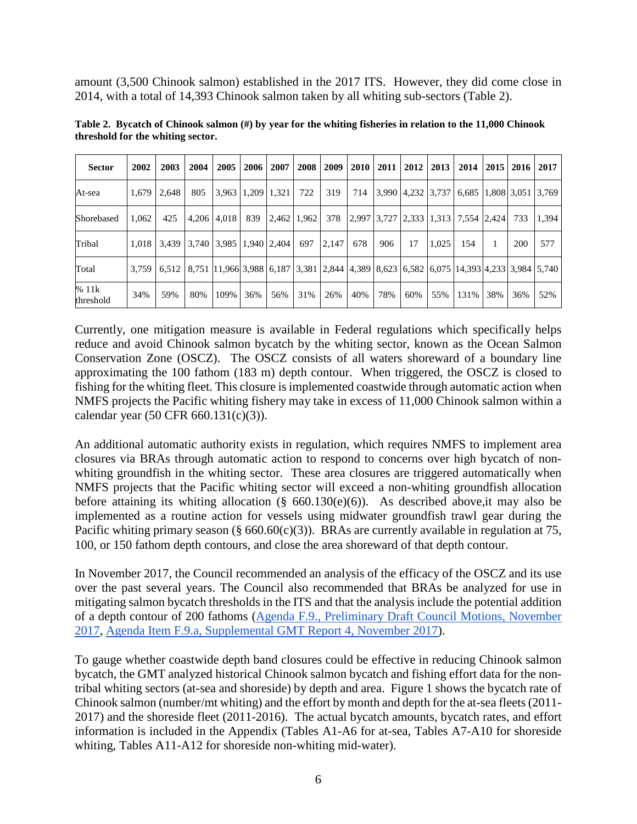amount (3,500 Chinook salmon) established in the 2017 ITS. However, they did come close in 2014, with a total of 14,393 Chinook salmon taken by all whiting sub-sectors [\(Table 2\)](#page-5-0).

| <b>Sector</b>      | 2002  | 2003  | 2004                          |                         | 2005 2006 | 2007            | 2008 | 2009  | <b>2010</b> | 2011 | 2012              | 2013  | 2014                                                                                                                    | 2015 | 2016 | 2017  |
|--------------------|-------|-------|-------------------------------|-------------------------|-----------|-----------------|------|-------|-------------|------|-------------------|-------|-------------------------------------------------------------------------------------------------------------------------|------|------|-------|
| At-sea             | 1,679 | 2.648 | 805                           | $3,963$   1,209   1,321 |           |                 | 722  | 319   | 714         |      | 3,990 4,232 3,737 |       | 6,685 1,808 3,051 3,769                                                                                                 |      |      |       |
| Shorebased         | 1.062 | 425   |                               | 4,206 4,018             |           | 839 2.462 1.962 |      | 378   |             |      |                   |       | $\left  2,997 \right  3,727 \left  2,333 \right  1,313 \left  7,554 \right  2,424 \right $                              |      | 733  | 1.394 |
| Tribal             | 1.018 |       | 3,439 3,740 3,985 1,940 2,404 |                         |           |                 | 697  | 2,147 | 678         | 906  | 17                | 1.025 | 154                                                                                                                     |      | 200  | 577   |
| Total              | 3.759 |       |                               |                         |           |                 |      |       |             |      |                   |       | 6,512   8,751   11,966   3,988   6,187   3,381   2,844   4,389   8,623   6,582   6,075   14,393   4,233   3,984   5,740 |      |      |       |
| % 11k<br>threshold | 34%   | 59%   | 80%                           | 109%                    | 36%       | 56%             | 31%  | 26%   | 40%         | 78%  | 60%               | 55%   | 131%                                                                                                                    | 38%  | 36%  | 52%   |

<span id="page-5-0"></span>**Table 2. Bycatch of Chinook salmon (#) by year for the whiting fisheries in relation to the 11,000 Chinook threshold for the whiting sector.** 

Currently, one mitigation measure is available in Federal regulations which specifically helps reduce and avoid Chinook salmon bycatch by the whiting sector, known as the Ocean Salmon Conservation Zone (OSCZ). The OSCZ consists of all waters shoreward of a boundary line approximating the 100 fathom (183 m) depth contour. When triggered, the OSCZ is closed to fishing for the whiting fleet. This closure is implemented coastwide through automatic action when NMFS projects the Pacific whiting fishery may take in excess of 11,000 Chinook salmon within a calendar year (50 CFR 660.131(c)(3)).

An additional automatic authority exists in regulation, which requires NMFS to implement area closures via BRAs through automatic action to respond to concerns over high bycatch of nonwhiting groundfish in the whiting sector. These area closures are triggered automatically when NMFS projects that the Pacific whiting sector will exceed a non-whiting groundfish allocation before attaining its whiting allocation (§ 660.130(e)(6)). As described above,it may also be implemented as a routine action for vessels using midwater groundfish trawl gear during the Pacific whiting primary season (§  $660.60(c)(3)$ ). BRAs are currently available in regulation at 75, 100, or 150 fathom depth contours, and close the area shoreward of that depth contour.

In November 2017, the Council recommended an analysis of the efficacy of the OSCZ and its use over the past several years. The Council also recommended that BRAs be analyzed for use in mitigating salmon bycatch thresholds in the ITS and that the analysis include the potential addition of a depth contour of 200 fathoms [\(Agenda F.9., Preliminary Draft Council Motions, November](https://www.pcouncil.org/wp-content/uploads/2017/11/F9_CouncilAction_November2017_.pdf)  [2017,](https://www.pcouncil.org/wp-content/uploads/2017/11/F9_CouncilAction_November2017_.pdf) [Agenda Item F.9.a, Supplemental GMT Report 4, November 2017\)](https://www.pcouncil.org/wp-content/uploads/2017/11/F9a_Sup_GMT_Rpt4_NOV2017BB.pdf).

To gauge whether coastwide depth band closures could be effective in reducing Chinook salmon bycatch, the GMT analyzed historical Chinook salmon bycatch and fishing effort data for the nontribal whiting sectors (at-sea and shoreside) by depth and area. [Figure 1](#page-6-0) shows the bycatch rate of Chinook salmon (number/mt whiting) and the effort by month and depth for the at-sea fleets (2011- 2017) and the shoreside fleet (2011-2016). The actual bycatch amounts, bycatch rates, and effort information is included in the Appendix (Tables A1-A6 for at-sea, Tables A7-A10 for shoreside whiting, Tables A11-A12 for shoreside non-whiting mid-water).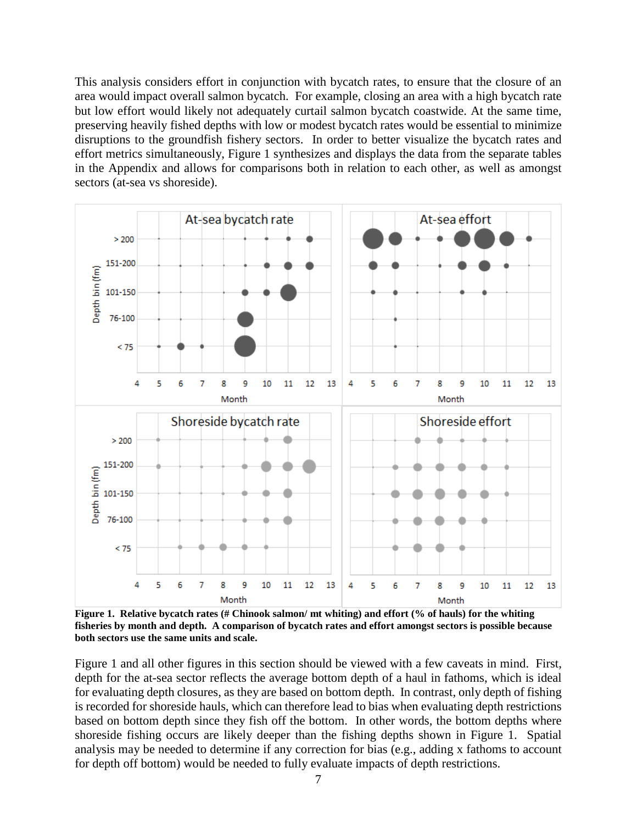This analysis considers effort in conjunction with bycatch rates, to ensure that the closure of an area would impact overall salmon bycatch. For example, closing an area with a high bycatch rate but low effort would likely not adequately curtail salmon bycatch coastwide. At the same time, preserving heavily fished depths with low or modest bycatch rates would be essential to minimize disruptions to the groundfish fishery sectors. In order to better visualize the bycatch rates and effort metrics simultaneously, [Figure 1](#page-6-0) synthesizes and displays the data from the separate tables in the Appendix and allows for comparisons both in relation to each other, as well as amongst sectors (at-sea vs shoreside).



<span id="page-6-0"></span>**Figure 1. Relative bycatch rates (# Chinook salmon/ mt whiting) and effort (% of hauls) for the whiting fisheries by month and depth. A comparison of bycatch rates and effort amongst sectors is possible because both sectors use the same units and scale.** 

[Figure 1](#page-6-0) and all other figures in this section should be viewed with a few caveats in mind. First, depth for the at-sea sector reflects the average bottom depth of a haul in fathoms, which is ideal for evaluating depth closures, as they are based on bottom depth. In contrast, only depth of fishing is recorded for shoreside hauls, which can therefore lead to bias when evaluating depth restrictions based on bottom depth since they fish off the bottom. In other words, the bottom depths where shoreside fishing occurs are likely deeper than the fishing depths shown in [Figure 1.](#page-6-0) Spatial analysis may be needed to determine if any correction for bias (e.g., adding x fathoms to account for depth off bottom) would be needed to fully evaluate impacts of depth restrictions.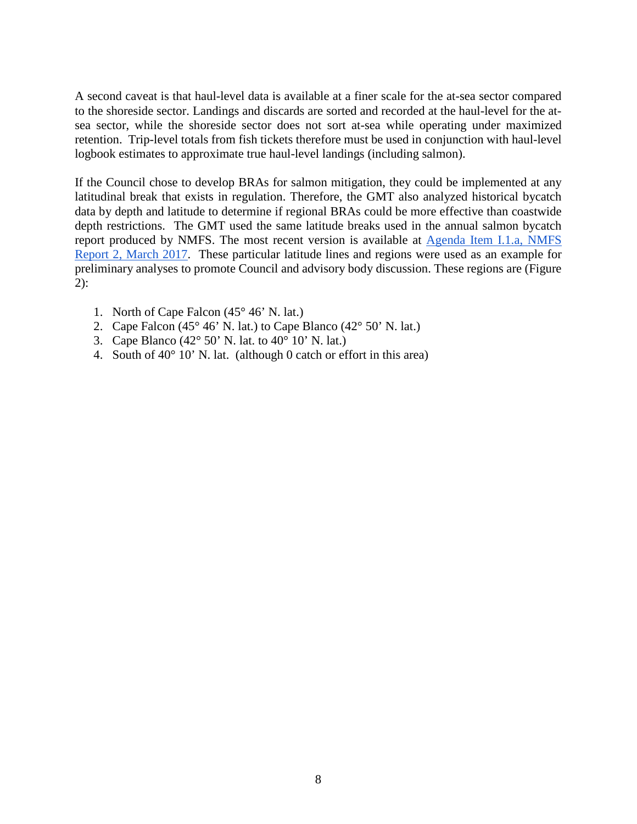A second caveat is that haul-level data is available at a finer scale for the at-sea sector compared to the shoreside sector. Landings and discards are sorted and recorded at the haul-level for the atsea sector, while the shoreside sector does not sort at-sea while operating under maximized retention. Trip-level totals from fish tickets therefore must be used in conjunction with haul-level logbook estimates to approximate true haul-level landings (including salmon).

If the Council chose to develop BRAs for salmon mitigation, they could be implemented at any latitudinal break that exists in regulation. Therefore, the GMT also analyzed historical bycatch data by depth and latitude to determine if regional BRAs could be more effective than coastwide depth restrictions. The GMT used the same latitude breaks used in the annual salmon bycatch report produced by NMFS. The most recent version is available at [Agenda Item I.1.a, NMFS](http://www.pcouncil.org/wp-content/uploads/2017/02/I1a_NMFS_Rpt2_Bycatch_Summary_FinalPublicVersion_2016Updated_Mar2017BB.pdf)  [Report 2, March](http://www.pcouncil.org/wp-content/uploads/2017/02/I1a_NMFS_Rpt2_Bycatch_Summary_FinalPublicVersion_2016Updated_Mar2017BB.pdf) 2017. These particular latitude lines and regions were used as an example for preliminary analyses to promote Council and advisory body discussion. These regions are [\(Figure](#page-8-0)  [2\)](#page-8-0):

- 1. North of Cape Falcon (45° 46' N. lat.)
- 2. Cape Falcon (45 $\degree$  46' N. lat.) to Cape Blanco (42 $\degree$  50' N. lat.)
- 3. Cape Blanco (42 $^{\circ}$  50' N. lat. to 40 $^{\circ}$  10' N. lat.)
- 4. South of  $40^{\circ}$  10' N. lat. (although 0 catch or effort in this area)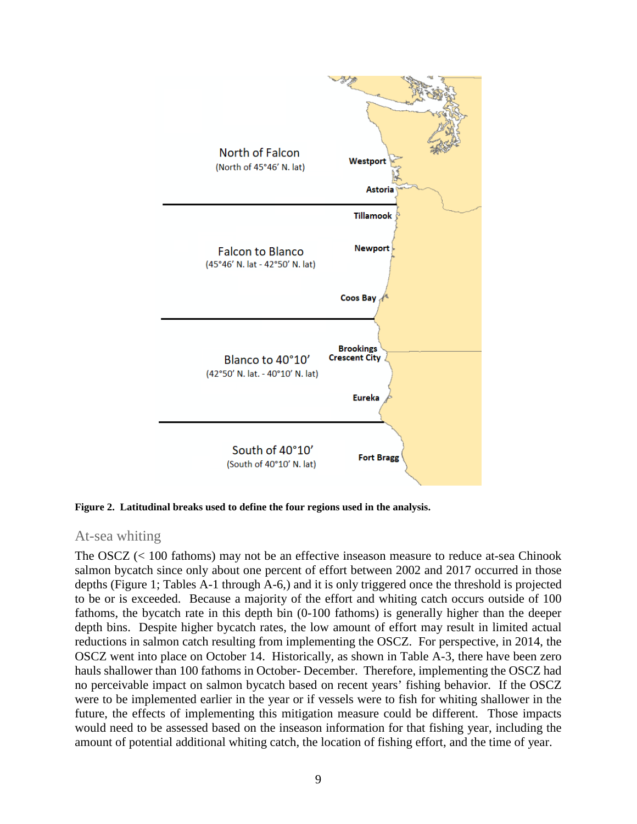

<span id="page-8-0"></span>**Figure 2. Latitudinal breaks used to define the four regions used in the analysis.**

## At-sea whiting

The OSCZ (< 100 fathoms) may not be an effective inseason measure to reduce at-sea Chinook salmon bycatch since only about one percent of effort between 2002 and 2017 occurred in those depths [\(Figure 1;](#page-6-0) Tables A-1 through A-6,) and it is only triggered once the threshold is projected to be or is exceeded. Because a majority of the effort and whiting catch occurs outside of 100 fathoms, the bycatch rate in this depth bin (0-100 fathoms) is generally higher than the deeper depth bins. Despite higher bycatch rates, the low amount of effort may result in limited actual reductions in salmon catch resulting from implementing the OSCZ. For perspective, in 2014, the OSCZ went into place on October 14. Historically, as shown in Table A-3, there have been zero hauls shallower than 100 fathoms in October- December. Therefore, implementing the OSCZ had no perceivable impact on salmon bycatch based on recent years' fishing behavior. If the OSCZ were to be implemented earlier in the year or if vessels were to fish for whiting shallower in the future, the effects of implementing this mitigation measure could be different. Those impacts would need to be assessed based on the inseason information for that fishing year, including the amount of potential additional whiting catch, the location of fishing effort, and the time of year.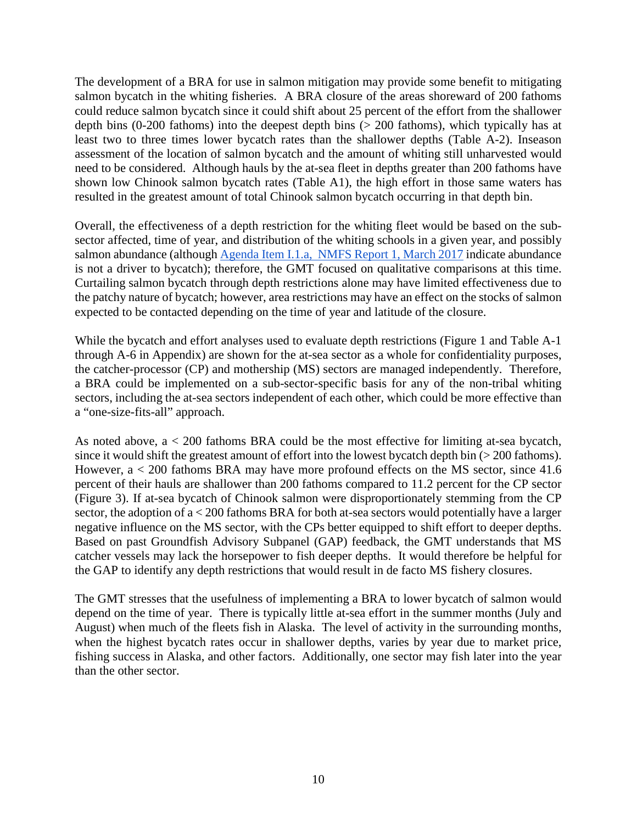The development of a BRA for use in salmon mitigation may provide some benefit to mitigating salmon bycatch in the whiting fisheries. A BRA closure of the areas shoreward of 200 fathoms could reduce salmon bycatch since it could shift about 25 percent of the effort from the shallower depth bins (0-200 fathoms) into the deepest depth bins (> 200 fathoms), which typically has at least two to three times lower bycatch rates than the shallower depths (Table A-2). Inseason assessment of the location of salmon bycatch and the amount of whiting still unharvested would need to be considered. Although hauls by the at-sea fleet in depths greater than 200 fathoms have shown low Chinook salmon bycatch rates (Table A1), the high effort in those same waters has resulted in the greatest amount of total Chinook salmon bycatch occurring in that depth bin.

Overall, the effectiveness of a depth restriction for the whiting fleet would be based on the subsector affected, time of year, and distribution of the whiting schools in a given year, and possibly salmon abundance (althoug[h Agenda Item I.1.a, NMFS Report 1, March 2017](http://www.pcouncil.org/wp-content/uploads/2017/02/I1a_NMFS_Rpt1_Alts_for_Salmon_Bycatch_Mgmt_inthe_Pacific_Coast_Groundfish_Fisheries_final_Mar2017BB.pdf) indicate abundance is not a driver to bycatch); therefore, the GMT focused on qualitative comparisons at this time. Curtailing salmon bycatch through depth restrictions alone may have limited effectiveness due to the patchy nature of bycatch; however, area restrictions may have an effect on the stocks of salmon expected to be contacted depending on the time of year and latitude of the closure.

While the bycatch and effort analyses used to evaluate depth restrictions [\(Figure 1](#page-6-0) and Table A-1 through A-6 in Appendix) are shown for the at-sea sector as a whole for confidentiality purposes, the catcher-processor (CP) and mothership (MS) sectors are managed independently. Therefore, a BRA could be implemented on a sub-sector-specific basis for any of the non-tribal whiting sectors, including the at-sea sectors independent of each other, which could be more effective than a "one-size-fits-all" approach.

As noted above, a < 200 fathoms BRA could be the most effective for limiting at-sea bycatch, since it would shift the greatest amount of effort into the lowest bycatch depth bin (> 200 fathoms). However, a < 200 fathoms BRA may have more profound effects on the MS sector, since 41.6 percent of their hauls are shallower than 200 fathoms compared to 11.2 percent for the CP sector [\(Figure 3\)](#page-10-0). If at-sea bycatch of Chinook salmon were disproportionately stemming from the CP sector, the adoption of a < 200 fathoms BRA for both at-sea sectors would potentially have a larger negative influence on the MS sector, with the CPs better equipped to shift effort to deeper depths. Based on past Groundfish Advisory Subpanel (GAP) feedback, the GMT understands that MS catcher vessels may lack the horsepower to fish deeper depths. It would therefore be helpful for the GAP to identify any depth restrictions that would result in de facto MS fishery closures.

The GMT stresses that the usefulness of implementing a BRA to lower bycatch of salmon would depend on the time of year. There is typically little at-sea effort in the summer months (July and August) when much of the fleets fish in Alaska. The level of activity in the surrounding months, when the highest bycatch rates occur in shallower depths, varies by year due to market price, fishing success in Alaska, and other factors. Additionally, one sector may fish later into the year than the other sector.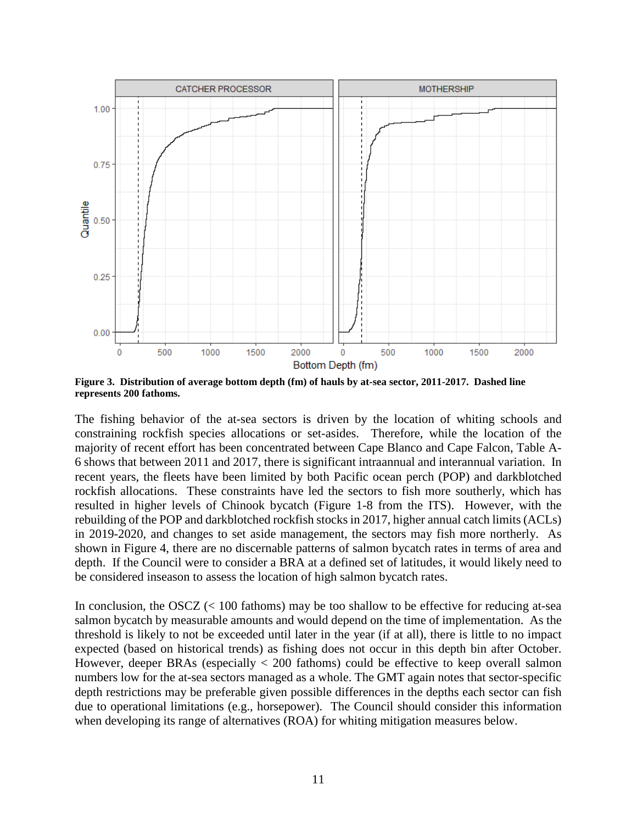

<span id="page-10-0"></span>**Figure 3. Distribution of average bottom depth (fm) of hauls by at-sea sector, 2011-2017. Dashed line represents 200 fathoms.**

The fishing behavior of the at-sea sectors is driven by the location of whiting schools and constraining rockfish species allocations or set-asides. Therefore, while the location of the majority of recent effort has been concentrated between Cape Blanco and Cape Falcon, Table A-6 shows that between 2011 and 2017, there is significant intraannual and interannual variation. In recent years, the fleets have been limited by both Pacific ocean perch (POP) and darkblotched rockfish allocations. These constraints have led the sectors to fish more southerly, which has resulted in higher levels of Chinook bycatch (Figure 1-8 from the ITS). However, with the rebuilding of the POP and darkblotched rockfish stocks in 2017, higher annual catch limits (ACLs) in 2019-2020, and changes to set aside management, the sectors may fish more northerly. As shown in [Figure 4,](#page-11-0) there are no discernable patterns of salmon bycatch rates in terms of area and depth. If the Council were to consider a BRA at a defined set of latitudes, it would likely need to be considered inseason to assess the location of high salmon bycatch rates.

In conclusion, the  $\text{OSCZ} \leq 100$  fathoms) may be too shallow to be effective for reducing at-sea salmon bycatch by measurable amounts and would depend on the time of implementation. As the threshold is likely to not be exceeded until later in the year (if at all), there is little to no impact expected (based on historical trends) as fishing does not occur in this depth bin after October. However, deeper BRAs (especially < 200 fathoms) could be effective to keep overall salmon numbers low for the at-sea sectors managed as a whole. The GMT again notes that sector-specific depth restrictions may be preferable given possible differences in the depths each sector can fish due to operational limitations (e.g., horsepower). The Council should consider this information when developing its range of alternatives (ROA) for whiting mitigation measures below.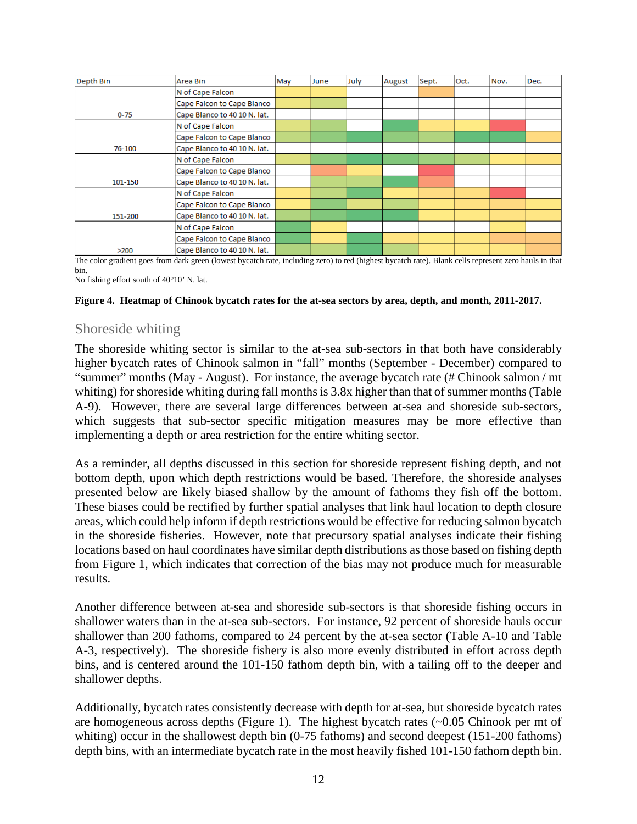| Depth Bin | Area Bin                     | May | June | July | August | Sept. | Oct. | Nov. | Dec. |
|-----------|------------------------------|-----|------|------|--------|-------|------|------|------|
|           | N of Cape Falcon             |     |      |      |        |       |      |      |      |
|           | Cape Falcon to Cape Blanco   |     |      |      |        |       |      |      |      |
| $0 - 75$  | Cape Blanco to 40 10 N. lat. |     |      |      |        |       |      |      |      |
|           | N of Cape Falcon             |     |      |      |        |       |      |      |      |
|           | Cape Falcon to Cape Blanco   |     |      |      |        |       |      |      |      |
| 76-100    | Cape Blanco to 40 10 N. lat. |     |      |      |        |       |      |      |      |
|           | N of Cape Falcon             |     |      |      |        |       |      |      |      |
|           | Cape Falcon to Cape Blanco   |     |      |      |        |       |      |      |      |
| 101-150   | Cape Blanco to 40 10 N. lat. |     |      |      |        |       |      |      |      |
|           | N of Cape Falcon             |     |      |      |        |       |      |      |      |
|           | Cape Falcon to Cape Blanco   |     |      |      |        |       |      |      |      |
| 151-200   | Cape Blanco to 40 10 N. lat. |     |      |      |        |       |      |      |      |
|           | N of Cape Falcon             |     |      |      |        |       |      |      |      |
|           | Cape Falcon to Cape Blanco   |     |      |      |        |       |      |      |      |
| >200      | Cape Blanco to 40 10 N. lat. |     |      |      |        |       |      |      |      |

The color gradient goes from dark green (lowest bycatch rate, including zero) to red (highest bycatch rate). Blank cells represent zero hauls in that bin.

No fishing effort south of 40°10' N. lat.

#### <span id="page-11-0"></span>**Figure 4. Heatmap of Chinook bycatch rates for the at-sea sectors by area, depth, and month, 2011-2017.**

## Shoreside whiting

The shoreside whiting sector is similar to the at-sea sub-sectors in that both have considerably higher bycatch rates of Chinook salmon in "fall" months (September - December) compared to "summer" months (May - August). For instance, the average bycatch rate (# Chinook salmon / mt whiting) for shoreside whiting during fall months is 3.8x higher than that of summer months (Table A-9). However, there are several large differences between at-sea and shoreside sub-sectors, which suggests that sub-sector specific mitigation measures may be more effective than implementing a depth or area restriction for the entire whiting sector.

As a reminder, all depths discussed in this section for shoreside represent fishing depth, and not bottom depth, upon which depth restrictions would be based. Therefore, the shoreside analyses presented below are likely biased shallow by the amount of fathoms they fish off the bottom. These biases could be rectified by further spatial analyses that link haul location to depth closure areas, which could help inform if depth restrictions would be effective for reducing salmon bycatch in the shoreside fisheries. However, note that precursory spatial analyses indicate their fishing locations based on haul coordinates have similar depth distributions as those based on fishing depth from [Figure 1,](#page-6-0) which indicates that correction of the bias may not produce much for measurable results.

Another difference between at-sea and shoreside sub-sectors is that shoreside fishing occurs in shallower waters than in the at-sea sub-sectors. For instance, 92 percent of shoreside hauls occur shallower than 200 fathoms, compared to 24 percent by the at-sea sector (Table A-10 and Table A-3, respectively). The shoreside fishery is also more evenly distributed in effort across depth bins, and is centered around the 101-150 fathom depth bin, with a tailing off to the deeper and shallower depths.

Additionally, bycatch rates consistently decrease with depth for at-sea, but shoreside bycatch rates are homogeneous across depths [\(Figure 1\)](#page-6-0). The highest bycatch rates (~0.05 Chinook per mt of whiting) occur in the shallowest depth bin (0-75 fathoms) and second deepest (151-200 fathoms) depth bins, with an intermediate bycatch rate in the most heavily fished 101-150 fathom depth bin.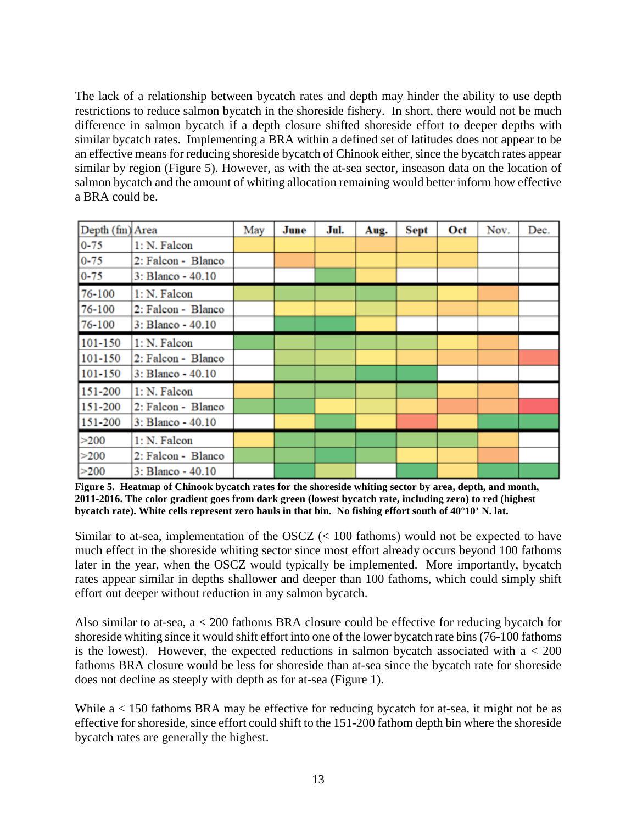The lack of a relationship between bycatch rates and depth may hinder the ability to use depth restrictions to reduce salmon bycatch in the shoreside fishery. In short, there would not be much difference in salmon bycatch if a depth closure shifted shoreside effort to deeper depths with similar bycatch rates. Implementing a BRA within a defined set of latitudes does not appear to be an effective means for reducing shoreside bycatch of Chinook either, since the bycatch rates appear similar by region [\(Figure 5\)](#page-12-0). However, as with the at-sea sector, inseason data on the location of salmon bycatch and the amount of whiting allocation remaining would better inform how effective a BRA could be.

| Depth (fm) Area |                    | May | June | Jul. | Aug. | Sept | Oct | Nov. | Dec. |
|-----------------|--------------------|-----|------|------|------|------|-----|------|------|
| $0 - 75$        | 1: N. Falcon       |     |      |      |      |      |     |      |      |
| $0 - 75$        | 2: Falcon - Blanco |     |      |      |      |      |     |      |      |
| $0 - 75$        | 3: Blanco - 40.10  |     |      |      |      |      |     |      |      |
| 76-100          | 1: N. Falcon       |     |      |      |      |      |     |      |      |
| 76-100          | 2: Falcon - Blanco |     |      |      |      |      |     |      |      |
| 76-100          | 3: Blanco - 40.10  |     |      |      |      |      |     |      |      |
| 101-150         | 1: N. Falcon       |     |      |      |      |      |     |      |      |
| 101-150         | 2: Falcon - Blanco |     |      |      |      |      |     |      |      |
| 101-150         | 3: Blanco - 40.10  |     |      |      |      |      |     |      |      |
| 151-200         | 1: N. Falcon       |     |      |      |      |      |     |      |      |
| 151-200         | 2: Falcon - Blanco |     |      |      |      |      |     |      |      |
| 151-200         | 3: Blanco - 40.10  |     |      |      |      |      |     |      |      |
| >200            | 1: N. Falcon       |     |      |      |      |      |     |      |      |
| >200            | 2: Falcon - Blanco |     |      |      |      |      |     |      |      |
| >200            | 3: Blanco - 40.10  |     |      |      |      |      |     |      |      |

<span id="page-12-0"></span>**Figure 5. Heatmap of Chinook bycatch rates for the shoreside whiting sector by area, depth, and month, 2011-2016. The color gradient goes from dark green (lowest bycatch rate, including zero) to red (highest bycatch rate). White cells represent zero hauls in that bin. No fishing effort south of 40°10' N. lat.**

Similar to at-sea, implementation of the OSCZ (< 100 fathoms) would not be expected to have much effect in the shoreside whiting sector since most effort already occurs beyond 100 fathoms later in the year, when the OSCZ would typically be implemented. More importantly, bycatch rates appear similar in depths shallower and deeper than 100 fathoms, which could simply shift effort out deeper without reduction in any salmon bycatch.

Also similar to at-sea, a < 200 fathoms BRA closure could be effective for reducing bycatch for shoreside whiting since it would shift effort into one of the lower bycatch rate bins (76-100 fathoms is the lowest). However, the expected reductions in salmon by catch associated with  $a < 200$ fathoms BRA closure would be less for shoreside than at-sea since the bycatch rate for shoreside does not decline as steeply with depth as for at-sea [\(Figure 1\)](#page-6-0).

While a < 150 fathoms BRA may be effective for reducing bycatch for at-sea, it might not be as effective for shoreside, since effort could shift to the 151-200 fathom depth bin where the shoreside bycatch rates are generally the highest.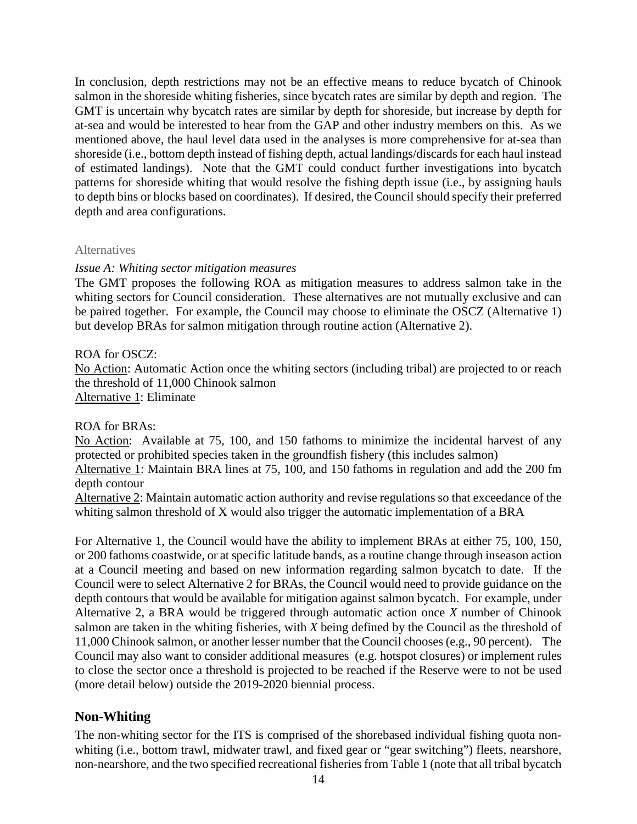In conclusion, depth restrictions may not be an effective means to reduce bycatch of Chinook salmon in the shoreside whiting fisheries, since bycatch rates are similar by depth and region. The GMT is uncertain why bycatch rates are similar by depth for shoreside, but increase by depth for at-sea and would be interested to hear from the GAP and other industry members on this. As we mentioned above, the haul level data used in the analyses is more comprehensive for at-sea than shoreside (i.e., bottom depth instead of fishing depth, actual landings/discards for each haul instead of estimated landings). Note that the GMT could conduct further investigations into bycatch patterns for shoreside whiting that would resolve the fishing depth issue (i.e., by assigning hauls to depth bins or blocks based on coordinates). If desired, the Council should specify their preferred depth and area configurations.

## **Alternatives**

## *Issue A: Whiting sector mitigation measures*

The GMT proposes the following ROA as mitigation measures to address salmon take in the whiting sectors for Council consideration. These alternatives are not mutually exclusive and can be paired together. For example, the Council may choose to eliminate the OSCZ (Alternative 1) but develop BRAs for salmon mitigation through routine action (Alternative 2).

## ROA for OSCZ:

No Action: Automatic Action once the whiting sectors (including tribal) are projected to or reach the threshold of 11,000 Chinook salmon Alternative 1: Eliminate

## ROA for BRAs:

No Action: Available at 75, 100, and 150 fathoms to minimize the incidental harvest of any protected or prohibited species taken in the groundfish fishery (this includes salmon)

Alternative 1: Maintain BRA lines at 75, 100, and 150 fathoms in regulation and add the 200 fm depth contour

Alternative 2: Maintain automatic action authority and revise regulations so that exceedance of the whiting salmon threshold of X would also trigger the automatic implementation of a BRA

For Alternative 1, the Council would have the ability to implement BRAs at either 75, 100, 150, or 200 fathoms coastwide, or at specific latitude bands, as a routine change through inseason action at a Council meeting and based on new information regarding salmon bycatch to date. If the Council were to select Alternative 2 for BRAs, the Council would need to provide guidance on the depth contours that would be available for mitigation against salmon bycatch. For example, under Alternative 2, a BRA would be triggered through automatic action once *X* number of Chinook salmon are taken in the whiting fisheries, with *X* being defined by the Council as the threshold of 11,000 Chinook salmon, or another lesser number that the Council chooses (e.g., 90 percent). The Council may also want to consider additional measures (e.g. hotspot closures) or implement rules to close the sector once a threshold is projected to be reached if the Reserve were to not be used (more detail below) outside the 2019-2020 biennial process.

## **Non-Whiting**

The non-whiting sector for the ITS is comprised of the shorebased individual fishing quota nonwhiting (i.e., bottom trawl, midwater trawl, and fixed gear or "gear switching") fleets, nearshore, non-nearshore, and the two specified recreational fisheries fro[m Table 1](#page-2-0) (note that all tribal bycatch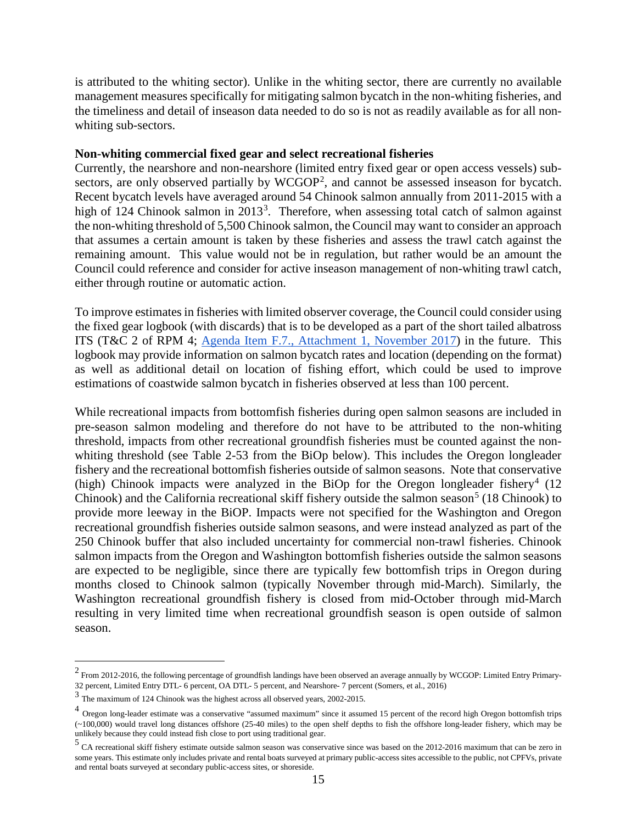is attributed to the whiting sector). Unlike in the whiting sector, there are currently no available management measures specifically for mitigating salmon bycatch in the non-whiting fisheries, and the timeliness and detail of inseason data needed to do so is not as readily available as for all nonwhiting sub-sectors.

## **Non-whiting commercial fixed gear and select recreational fisheries**

Currently, the nearshore and non-nearshore (limited entry fixed gear or open access vessels) sub-sectors, are only observed partially by WCGOP<sup>[2](#page-14-0)</sup>, and cannot be assessed inseason for bycatch. Recent bycatch levels have averaged around 54 Chinook salmon annually from 2011-2015 with a high of 124 Chinook salmon in 201[3](#page-14-1)<sup>3</sup>. Therefore, when assessing total catch of salmon against the non-whiting threshold of 5,500 Chinook salmon, the Council may want to consider an approach that assumes a certain amount is taken by these fisheries and assess the trawl catch against the remaining amount. This value would not be in regulation, but rather would be an amount the Council could reference and consider for active inseason management of non-whiting trawl catch, either through routine or automatic action.

To improve estimates in fisheries with limited observer coverage, the Council could consider using the fixed gear logbook (with discards) that is to be developed as a part of the short tailed albatross ITS (T&C 2 of RPM 4; [Agenda Item F.7., Attachment 1, November 2017\)](http://www.pcouncil.org/wp-content/uploads/2017/10/F7_Att1_USFWS_2017_STALBiOp_NOV2017BB.pdf) in the future. This logbook may provide information on salmon bycatch rates and location (depending on the format) as well as additional detail on location of fishing effort, which could be used to improve estimations of coastwide salmon bycatch in fisheries observed at less than 100 percent.

While recreational impacts from bottomfish fisheries during open salmon seasons are included in pre-season salmon modeling and therefore do not have to be attributed to the non-whiting threshold, impacts from other recreational groundfish fisheries must be counted against the nonwhiting threshold (see Table 2-53 from the BiOp below). This includes the Oregon longleader fishery and the recreational bottomfish fisheries outside of salmon seasons. Note that conservative (high) Chinook impacts were analyzed in the BiOp for the Oregon longleader fishery<sup>[4](#page-14-2)</sup> (12) Chinook) and the California recreational skiff fishery outside the salmon season<sup>[5](#page-14-3)</sup> (18 Chinook) to provide more leeway in the BiOP. Impacts were not specified for the Washington and Oregon recreational groundfish fisheries outside salmon seasons, and were instead analyzed as part of the 250 Chinook buffer that also included uncertainty for commercial non-trawl fisheries. Chinook salmon impacts from the Oregon and Washington bottomfish fisheries outside the salmon seasons are expected to be negligible, since there are typically few bottomfish trips in Oregon during months closed to Chinook salmon (typically November through mid-March). Similarly, the Washington recreational groundfish fishery is closed from mid-October through mid-March resulting in very limited time when recreational groundfish season is open outside of salmon season.

<span id="page-14-0"></span> $2$  From 2012-2016, the following percentage of groundfish landings have been observed an average annually by WCGOP: Limited Entry Primary-32 percent, Limited Entry DTL- 6 percent, OA DTL- 5 percent, and Nearshore- 7 percent (Somers, et al., 2016)

<span id="page-14-1"></span><sup>3</sup> The maximum of 124 Chinook was the highest across all observed years, 2002-2015.

<span id="page-14-2"></span><sup>&</sup>lt;sup>4</sup> Oregon long-leader estimate was a conservative "assumed maximum" since it assumed 15 percent of the record high Oregon bottomfish trips (~100,000) would travel long distances offshore (25-40 miles) to the open shelf depths to fish the offshore long-leader fishery, which may be unlikely because they could instead fish close to port using traditional gear.

<span id="page-14-3"></span><sup>5</sup> CA recreational skiff fishery estimate outside salmon season was conservative since was based on the 2012-2016 maximum that can be zero in some years. This estimate only includes private and rental boats surveyed at primary public-access sites accessible to the public, not CPFVs, private and rental boats surveyed at secondary public-access sites, or shoreside.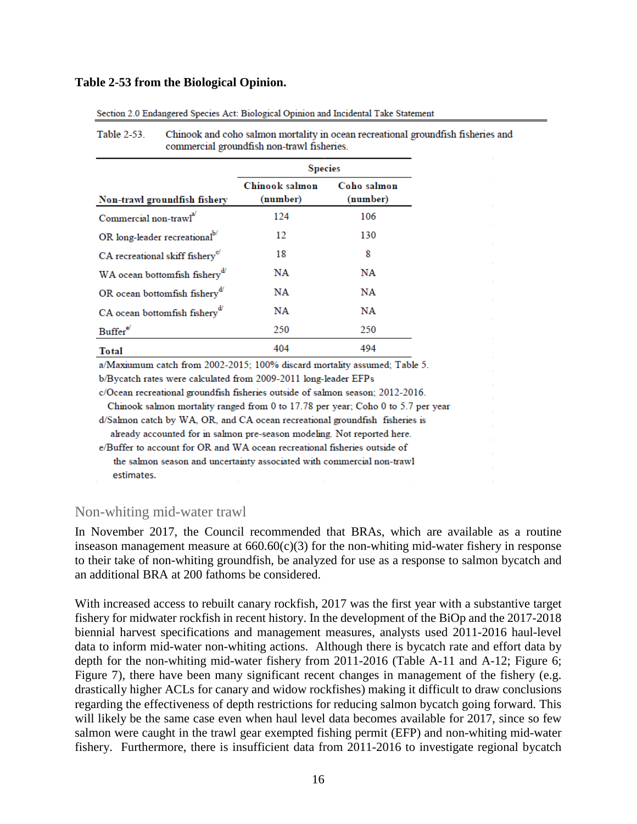#### **Table 2-53 from the Biological Opinion.**

|                                             | <b>Species</b>             |                         |  |  |  |  |  |  |
|---------------------------------------------|----------------------------|-------------------------|--|--|--|--|--|--|
| Non-trawl groundfish fishery                | Chinook salmon<br>(number) | Coho salmon<br>(number) |  |  |  |  |  |  |
| Commercial non-trawl <sup>a</sup>           | 124                        | 106                     |  |  |  |  |  |  |
| OR long-leader recreational <sup>b/</sup>   | 12                         | 130                     |  |  |  |  |  |  |
| CA recreational skiff fishery <sup>o'</sup> | 18                         | 8                       |  |  |  |  |  |  |
| WA ocean bottomfish fishery <sup>d'</sup>   | NA                         | NA                      |  |  |  |  |  |  |
| OR ocean bottomfish fishery <sup>d/</sup>   | NA                         | NA                      |  |  |  |  |  |  |
| CA ocean bottomfish fishery <sup>d'</sup>   | NA                         | NA                      |  |  |  |  |  |  |
| Buffer®                                     | 250                        | 250                     |  |  |  |  |  |  |
| Total                                       | 404                        | 494                     |  |  |  |  |  |  |

Section 2.0 Endangered Species Act: Biological Opinion and Incidental Take Statement

Table 2-53. Chinook and coho salmon mortality in ocean recreational groundfish fisheries and commercial groundfish non-trawl fisheries.

a/Maxiumum catch from 2002-2015; 100% discard mortality assumed; Table 5.

b/Bycatch rates were calculated from 2009-2011 long-leader EFPs

c/Ocean recreational groundfish fisheries outside of salmon season; 2012-2016.

Chinook salmon mortality ranged from 0 to 17.78 per year; Coho 0 to 5.7 per year

d/Salmon catch by WA, OR, and CA ocean recreational groundfish fisheries is

already accounted for in salmon pre-season modeling. Not reported here.

e/Buffer to account for OR and WA ocean recreational fisheries outside of the salmon season and uncertainty associated with commercial non-trawl estimates.

#### Non-whiting mid-water trawl

In November 2017, the Council recommended that BRAs, which are available as a routine inseason management measure at  $660.60(c)(3)$  for the non-whiting mid-water fishery in response to their take of non-whiting groundfish, be analyzed for use as a response to salmon bycatch and an additional BRA at 200 fathoms be considered.

With increased access to rebuilt canary rockfish, 2017 was the first year with a substantive target fishery for midwater rockfish in recent history. In the development of the BiOp and the 2017-2018 biennial harvest specifications and management measures, analysts used 2011-2016 haul-level data to inform mid-water non-whiting actions. Although there is bycatch rate and effort data by depth for the non-whiting mid-water fishery from 2011-2016 (Table A-11 and A-12; [Figure 6;](#page-16-0) [Figure 7\)](#page-16-1), there have been many significant recent changes in management of the fishery (e.g. drastically higher ACLs for canary and widow rockfishes) making it difficult to draw conclusions regarding the effectiveness of depth restrictions for reducing salmon bycatch going forward. This will likely be the same case even when haul level data becomes available for 2017, since so few salmon were caught in the trawl gear exempted fishing permit (EFP) and non-whiting mid-water fishery. Furthermore, there is insufficient data from 2011-2016 to investigate regional bycatch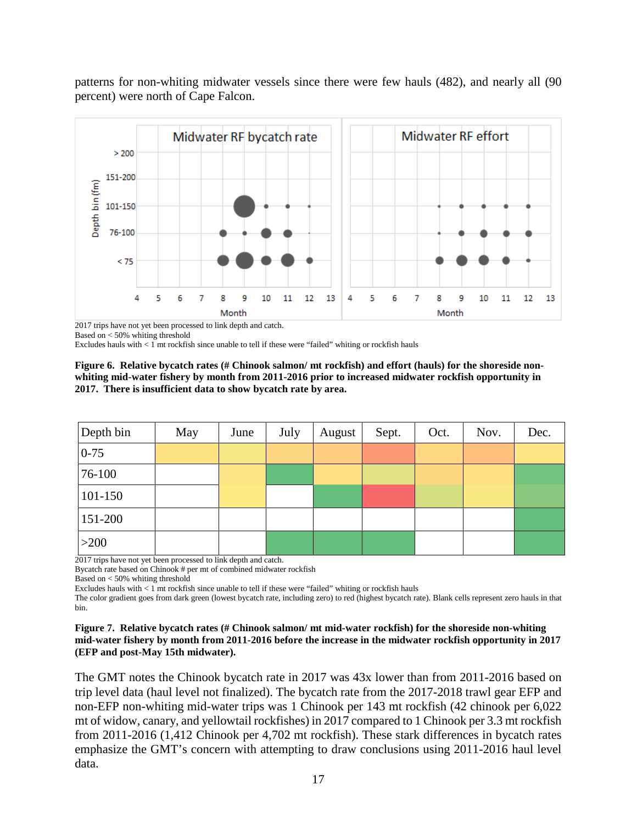patterns for non-whiting midwater vessels since there were few hauls (482), and nearly all (90 percent) were north of Cape Falcon.



2017 trips have not yet been processed to link depth and catch. Based on < 50% whiting threshold

Excludes hauls with < 1 mt rockfish since unable to tell if these were "failed" whiting or rockfish hauls

<span id="page-16-0"></span>

| Figure 6. Relative bycatch rates (# Chinook salmon/ mt rockfish) and effort (hauls) for the shoreside non- |
|------------------------------------------------------------------------------------------------------------|
| whiting mid-water fishery by month from 2011-2016 prior to increased midwater rockfish opportunity in      |
| 2017. There is insufficient data to show bycatch rate by area.                                             |

| Depth bin | May | June | July | August | Sept. | Oct. | Nov. | Dec. |
|-----------|-----|------|------|--------|-------|------|------|------|
| $0 - 75$  |     |      |      |        |       |      |      |      |
| 76-100    |     |      |      |        |       |      |      |      |
| 101-150   |     |      |      |        |       |      |      |      |
| 151-200   |     |      |      |        |       |      |      |      |
| >200      |     |      |      |        |       |      |      |      |

2017 trips have not yet been processed to link depth and catch.

Bycatch rate based on Chinook # per mt of combined midwater rockfish

Based on < 50% whiting threshold

Excludes hauls with < 1 mt rockfish since unable to tell if these were "failed" whiting or rockfish hauls

The color gradient goes from dark green (lowest bycatch rate, including zero) to red (highest bycatch rate). Blank cells represent zero hauls in that bin.

#### <span id="page-16-1"></span>**Figure 7. Relative bycatch rates (# Chinook salmon/ mt mid-water rockfish) for the shoreside non-whiting mid-water fishery by month from 2011-2016 before the increase in the midwater rockfish opportunity in 2017 (EFP and post-May 15th midwater).**

The GMT notes the Chinook bycatch rate in 2017 was 43x lower than from 2011-2016 based on trip level data (haul level not finalized). The bycatch rate from the 2017-2018 trawl gear EFP and non-EFP non-whiting mid-water trips was 1 Chinook per 143 mt rockfish (42 chinook per 6,022 mt of widow, canary, and yellowtail rockfishes) in 2017 compared to 1 Chinook per 3.3 mt rockfish from 2011-2016 (1,412 Chinook per 4,702 mt rockfish). These stark differences in bycatch rates emphasize the GMT's concern with attempting to draw conclusions using 2011-2016 haul level data.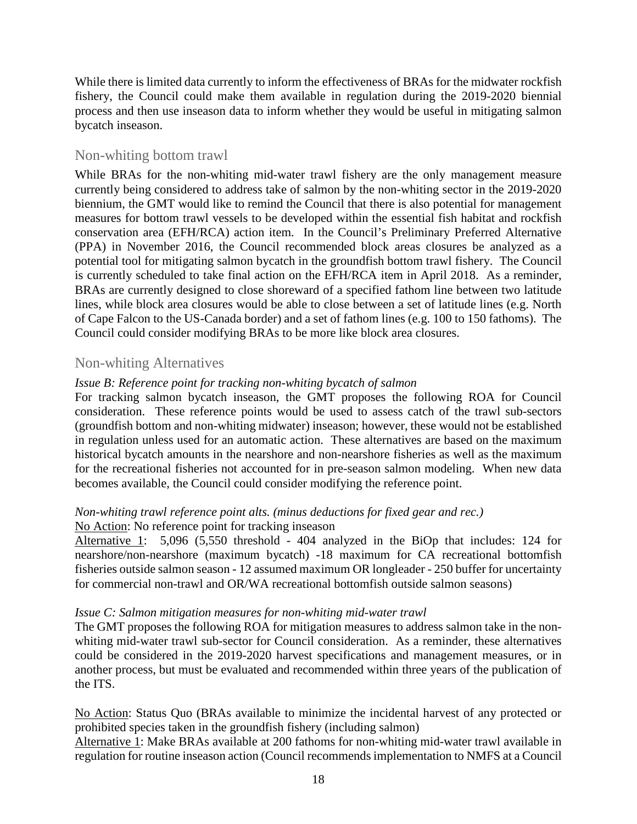While there is limited data currently to inform the effectiveness of BRAs for the midwater rockfish fishery, the Council could make them available in regulation during the 2019-2020 biennial process and then use inseason data to inform whether they would be useful in mitigating salmon bycatch inseason.

## Non-whiting bottom trawl

While BRAs for the non-whiting mid-water trawl fishery are the only management measure currently being considered to address take of salmon by the non-whiting sector in the 2019-2020 biennium, the GMT would like to remind the Council that there is also potential for management measures for bottom trawl vessels to be developed within the essential fish habitat and rockfish conservation area (EFH/RCA) action item. In the Council's Preliminary Preferred Alternative (PPA) in November 2016, the Council recommended block areas closures be analyzed as a potential tool for mitigating salmon bycatch in the groundfish bottom trawl fishery. The Council is currently scheduled to take final action on the EFH/RCA item in April 2018. As a reminder, BRAs are currently designed to close shoreward of a specified fathom line between two latitude lines, while block area closures would be able to close between a set of latitude lines (e.g. North of Cape Falcon to the US-Canada border) and a set of fathom lines (e.g. 100 to 150 fathoms). The Council could consider modifying BRAs to be more like block area closures.

## Non-whiting Alternatives

## *Issue B: Reference point for tracking non-whiting bycatch of salmon*

For tracking salmon bycatch inseason, the GMT proposes the following ROA for Council consideration. These reference points would be used to assess catch of the trawl sub-sectors (groundfish bottom and non-whiting midwater) inseason; however, these would not be established in regulation unless used for an automatic action. These alternatives are based on the maximum historical bycatch amounts in the nearshore and non-nearshore fisheries as well as the maximum for the recreational fisheries not accounted for in pre-season salmon modeling. When new data becomes available, the Council could consider modifying the reference point.

#### *Non-whiting trawl reference point alts. (minus deductions for fixed gear and rec.)* No Action: No reference point for tracking inseason

Alternative 1: 5,096 (5,550 threshold - 404 analyzed in the BiOp that includes: 124 for nearshore/non-nearshore (maximum bycatch) -18 maximum for CA recreational bottomfish fisheries outside salmon season - 12 assumed maximum OR longleader - 250 buffer for uncertainty for commercial non-trawl and OR/WA recreational bottomfish outside salmon seasons)

## *Issue C: Salmon mitigation measures for non-whiting mid-water trawl*

The GMT proposes the following ROA for mitigation measures to address salmon take in the nonwhiting mid-water trawl sub-sector for Council consideration. As a reminder, these alternatives could be considered in the 2019-2020 harvest specifications and management measures, or in another process, but must be evaluated and recommended within three years of the publication of the ITS.

No Action: Status Quo (BRAs available to minimize the incidental harvest of any protected or prohibited species taken in the groundfish fishery (including salmon)

Alternative 1: Make BRAs available at 200 fathoms for non-whiting mid-water trawl available in regulation for routine inseason action (Council recommends implementation to NMFS at a Council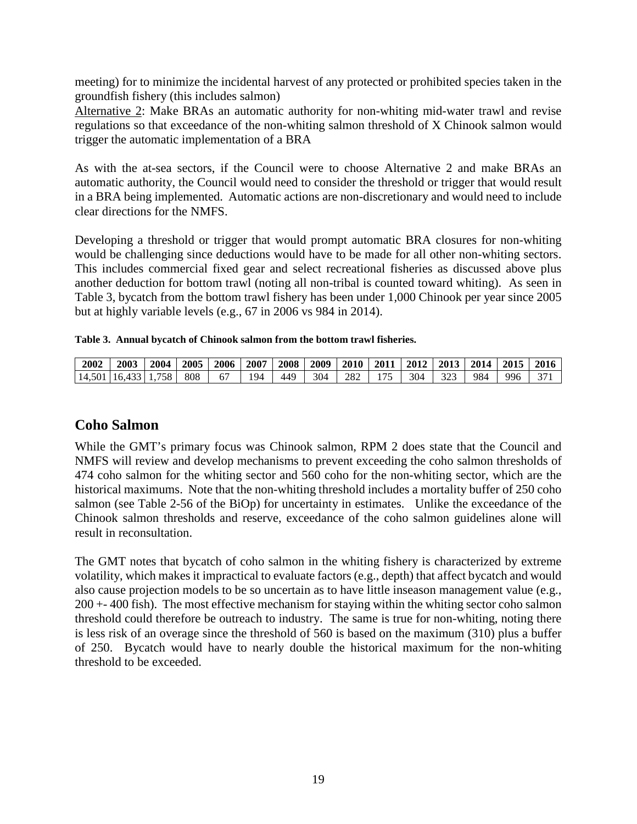meeting) for to minimize the incidental harvest of any protected or prohibited species taken in the groundfish fishery (this includes salmon)

Alternative 2: Make BRAs an automatic authority for non-whiting mid-water trawl and revise regulations so that exceedance of the non-whiting salmon threshold of X Chinook salmon would trigger the automatic implementation of a BRA

As with the at-sea sectors, if the Council were to choose Alternative 2 and make BRAs an automatic authority, the Council would need to consider the threshold or trigger that would result in a BRA being implemented. Automatic actions are non-discretionary and would need to include clear directions for the NMFS.

Developing a threshold or trigger that would prompt automatic BRA closures for non-whiting would be challenging since deductions would have to be made for all other non-whiting sectors. This includes commercial fixed gear and select recreational fisheries as discussed above plus another deduction for bottom trawl (noting all non-tribal is counted toward whiting). As seen in [Table 3,](#page-18-0) bycatch from the bottom trawl fishery has been under 1,000 Chinook per year since 2005 but at highly variable levels (e.g., 67 in 2006 vs 984 in 2014).

<span id="page-18-0"></span>

|  | Table 3. Annual bycatch of Chinook salmon from the bottom trawl fisheries. |  |  |  |
|--|----------------------------------------------------------------------------|--|--|--|
|--|----------------------------------------------------------------------------|--|--|--|

| 2002   | 2003         | 2004 | 2005 | 2006 | 2007 | 2008 | 2009 | <b>2010</b> | 2011          | 2012 | 2013 | 2014 | 2015 | 2016   |
|--------|--------------|------|------|------|------|------|------|-------------|---------------|------|------|------|------|--------|
| 14.501 | $16.433$   1 | 758  | 808  | b,   | 194  | 449  | 304  | 282         | $\sim$ $\sim$ | 304  | າາາ  | 984  | 996  | $\sim$ |

# **Coho Salmon**

While the GMT's primary focus was Chinook salmon, RPM 2 does state that the Council and NMFS will review and develop mechanisms to prevent exceeding the coho salmon thresholds of 474 coho salmon for the whiting sector and 560 coho for the non-whiting sector, which are the historical maximums. Note that the non-whiting threshold includes a mortality buffer of 250 coho salmon (see Table 2-56 of the BiOp) for uncertainty in estimates. Unlike the exceedance of the Chinook salmon thresholds and reserve, exceedance of the coho salmon guidelines alone will result in reconsultation.

The GMT notes that bycatch of coho salmon in the whiting fishery is characterized by extreme volatility, which makes it impractical to evaluate factors (e.g., depth) that affect bycatch and would also cause projection models to be so uncertain as to have little inseason management value (e.g., 200 +- 400 fish). The most effective mechanism for staying within the whiting sector coho salmon threshold could therefore be outreach to industry. The same is true for non-whiting, noting there is less risk of an overage since the threshold of 560 is based on the maximum (310) plus a buffer of 250. Bycatch would have to nearly double the historical maximum for the non-whiting threshold to be exceeded.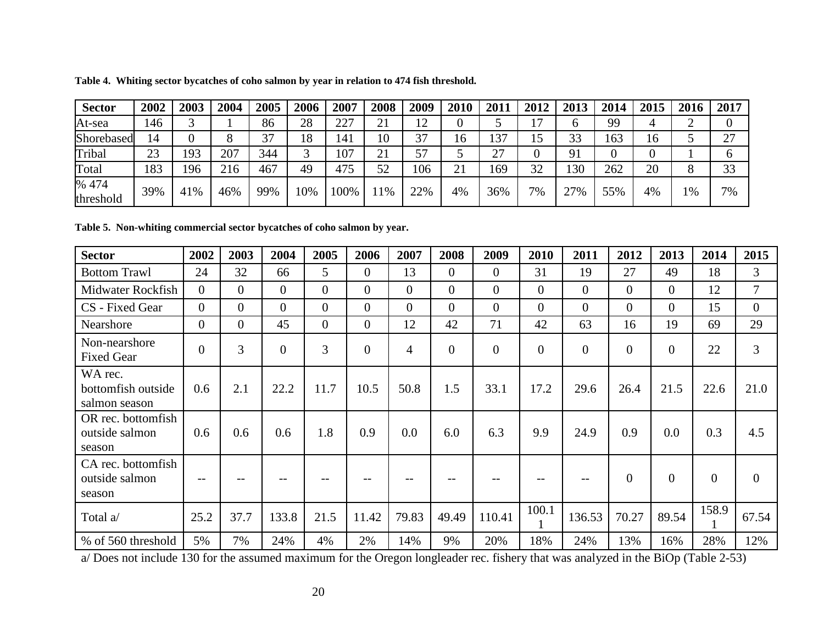| <b>Sector</b>      | 2002 | 200 | 2004 | 2005 | 2006 | 2007 | 2008 | 2009                | 2010 | 201           | 2012                     | 2013 | 2014 | 2015 | 2016    | 2017 |
|--------------------|------|-----|------|------|------|------|------|---------------------|------|---------------|--------------------------|------|------|------|---------|------|
| At-sea             | 146  |     |      | 86   | 28   | 227  | 21   | 12<br>┸ <del></del> |      |               | $\overline{\phantom{a}}$ | h    | 99   |      | ◠<br>∽  |      |
| Shorebased         | 14   |     |      | 37   | 18   | 141  | 10   | 37                  | 16   | $\cap$<br>13' | 15                       | 33   | 163  | 16   |         | 27   |
| Tribal             | 23   | 193 | 207  | 344  | ⌒    | 107  | 21   | 57                  |      | $\cap$        |                          | 91   |      |      |         |      |
| Total              | 183  | 196 | 216  | 467  | 49   | 475  | 52   | 106                 | 21   | 169           | 32                       | 130  | 262  | 20   | $\circ$ | 33   |
| % 474<br>threshold | 39%  | 41% | 46%  | 99%  | 10%  | 100% | 1%   | 22%                 | 4%   | 36%           | 7%                       | 27%  | 55%  | 4%   | 1%      | 7%   |

**Table 4. Whiting sector bycatches of coho salmon by year in relation to 474 fish threshold.**

**Table 5. Non-whiting commercial sector bycatches of coho salmon by year.**

| <b>Sector</b>                                  | 2002           | 2003           | 2004           | 2005           | 2006           | 2007           | 2008           | 2009     | 2010           | 2011           | 2012           | 2013           | 2014           | 2015           |
|------------------------------------------------|----------------|----------------|----------------|----------------|----------------|----------------|----------------|----------|----------------|----------------|----------------|----------------|----------------|----------------|
| <b>Bottom Trawl</b>                            | 24             | 32             | 66             | 5              | $\Omega$       | 13             | $\overline{0}$ | $\theta$ | 31             | 19             | 27             | 49             | 18             | 3              |
| Midwater Rockfish                              | $\Omega$       | $\overline{0}$ | $\overline{0}$ | $\overline{0}$ | $\overline{0}$ | $\overline{0}$ | $\overline{0}$ | $\theta$ | $\overline{0}$ | $\theta$       | $\overline{0}$ | $\overline{0}$ | 12             | $\overline{7}$ |
| CS - Fixed Gear                                | $\overline{0}$ | $\overline{0}$ | $\overline{0}$ | $\overline{0}$ | $\overline{0}$ | $\theta$       | $\overline{0}$ | $\theta$ | $\theta$       | $\theta$       | $\Omega$       | $\overline{0}$ | 15             | $\overline{0}$ |
| Nearshore                                      | $\overline{0}$ | $\overline{0}$ | 45             | $\overline{0}$ | $\overline{0}$ | 12             | 42             | 71       | 42             | 63             | 16             | 19             | 69             | 29             |
| Non-nearshore<br><b>Fixed Gear</b>             | $\overline{0}$ | 3              | $\overline{0}$ | 3              | $\overline{0}$ | 4              | $\overline{0}$ | $\theta$ | $\mathbf{0}$   | $\overline{0}$ | $\overline{0}$ | $\theta$       | 22             | 3              |
| WA rec.<br>bottomfish outside<br>salmon season | 0.6            | 2.1            | 22.2           | 11.7           | 10.5           | 50.8           | 1.5            | 33.1     | 17.2           | 29.6           | 26.4           | 21.5           | 22.6           | 21.0           |
| OR rec. bottomfish<br>outside salmon<br>season | 0.6            | 0.6            | 0.6            | 1.8            | 0.9            | 0.0            | 6.0            | 6.3      | 9.9            | 24.9           | 0.9            | 0.0            | 0.3            | 4.5            |
| CA rec. bottomfish<br>outside salmon<br>season |                |                |                |                |                |                |                |          |                |                | $\overline{0}$ | $\overline{0}$ | $\overline{0}$ | $\overline{0}$ |
| Total a/                                       | 25.2           | 37.7           | 133.8          | 21.5           | 11.42          | 79.83          | 49.49          | 110.41   | 100.1          | 136.53         | 70.27          | 89.54          | 158.9          | 67.54          |
| % of 560 threshold                             | 5%             | 7%             | 24%            | 4%             | 2%             | 14%            | 9%             | 20%      | 18%            | 24%            | 13%            | 16%            | 28%            | 12%            |

a/ Does not include 130 for the assumed maximum for the Oregon longleader rec. fishery that was analyzed in the BiOp (Table 2-53)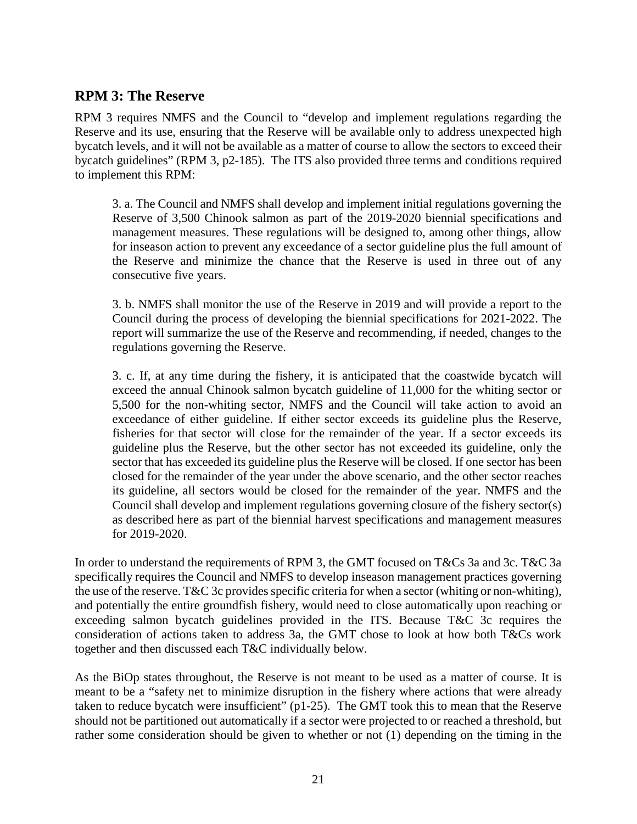# **RPM 3: The Reserve**

RPM 3 requires NMFS and the Council to "develop and implement regulations regarding the Reserve and its use, ensuring that the Reserve will be available only to address unexpected high bycatch levels, and it will not be available as a matter of course to allow the sectors to exceed their bycatch guidelines" (RPM 3, p2-185). The ITS also provided three terms and conditions required to implement this RPM:

3. a. The Council and NMFS shall develop and implement initial regulations governing the Reserve of 3,500 Chinook salmon as part of the 2019-2020 biennial specifications and management measures. These regulations will be designed to, among other things, allow for inseason action to prevent any exceedance of a sector guideline plus the full amount of the Reserve and minimize the chance that the Reserve is used in three out of any consecutive five years.

3. b. NMFS shall monitor the use of the Reserve in 2019 and will provide a report to the Council during the process of developing the biennial specifications for 2021-2022. The report will summarize the use of the Reserve and recommending, if needed, changes to the regulations governing the Reserve.

3. c. If, at any time during the fishery, it is anticipated that the coastwide bycatch will exceed the annual Chinook salmon bycatch guideline of 11,000 for the whiting sector or 5,500 for the non-whiting sector, NMFS and the Council will take action to avoid an exceedance of either guideline. If either sector exceeds its guideline plus the Reserve, fisheries for that sector will close for the remainder of the year. If a sector exceeds its guideline plus the Reserve, but the other sector has not exceeded its guideline, only the sector that has exceeded its guideline plus the Reserve will be closed. If one sector has been closed for the remainder of the year under the above scenario, and the other sector reaches its guideline, all sectors would be closed for the remainder of the year. NMFS and the Council shall develop and implement regulations governing closure of the fishery sector(s) as described here as part of the biennial harvest specifications and management measures for 2019-2020.

In order to understand the requirements of RPM 3, the GMT focused on T&Cs 3a and 3c. T&C 3a specifically requires the Council and NMFS to develop inseason management practices governing the use of the reserve. T&C 3c provides specific criteria for when a sector (whiting or non-whiting), and potentially the entire groundfish fishery, would need to close automatically upon reaching or exceeding salmon bycatch guidelines provided in the ITS. Because T&C 3c requires the consideration of actions taken to address 3a, the GMT chose to look at how both T&Cs work together and then discussed each T&C individually below.

As the BiOp states throughout, the Reserve is not meant to be used as a matter of course. It is meant to be a "safety net to minimize disruption in the fishery where actions that were already taken to reduce bycatch were insufficient" (p1-25). The GMT took this to mean that the Reserve should not be partitioned out automatically if a sector were projected to or reached a threshold, but rather some consideration should be given to whether or not (1) depending on the timing in the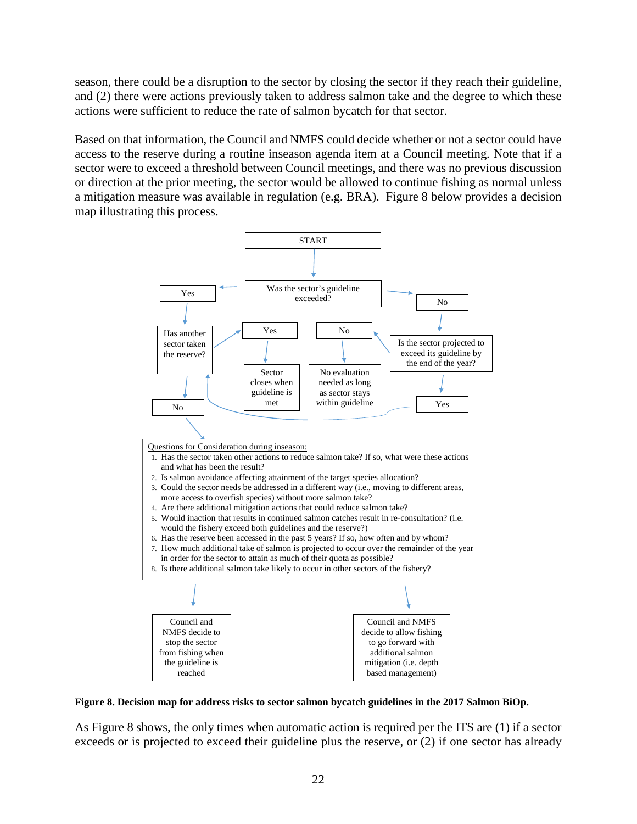season, there could be a disruption to the sector by closing the sector if they reach their guideline, and (2) there were actions previously taken to address salmon take and the degree to which these actions were sufficient to reduce the rate of salmon bycatch for that sector.

Based on that information, the Council and NMFS could decide whether or not a sector could have access to the reserve during a routine inseason agenda item at a Council meeting. Note that if a sector were to exceed a threshold between Council meetings, and there was no previous discussion or direction at the prior meeting, the sector would be allowed to continue fishing as normal unless a mitigation measure was available in regulation (e.g. BRA). [Figure 8](#page-21-0) below provides a decision map illustrating this process.



<span id="page-21-0"></span>**Figure 8. Decision map for address risks to sector salmon bycatch guidelines in the 2017 Salmon BiOp.** 

As [Figure 8](#page-21-0) shows, the only times when automatic action is required per the ITS are (1) if a sector exceeds or is projected to exceed their guideline plus the reserve, or (2) if one sector has already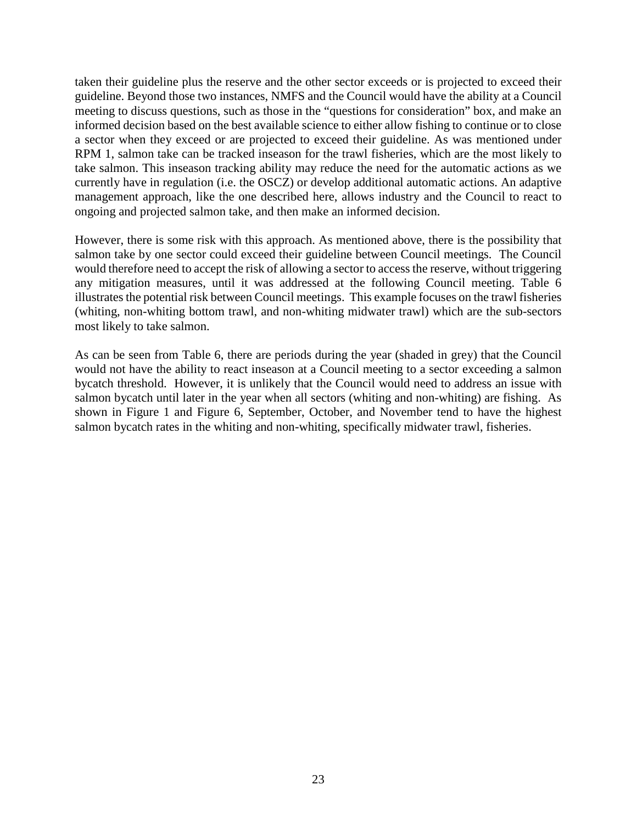taken their guideline plus the reserve and the other sector exceeds or is projected to exceed their guideline. Beyond those two instances, NMFS and the Council would have the ability at a Council meeting to discuss questions, such as those in the "questions for consideration" box, and make an informed decision based on the best available science to either allow fishing to continue or to close a sector when they exceed or are projected to exceed their guideline. As was mentioned under RPM 1, salmon take can be tracked inseason for the trawl fisheries, which are the most likely to take salmon. This inseason tracking ability may reduce the need for the automatic actions as we currently have in regulation (i.e. the OSCZ) or develop additional automatic actions. An adaptive management approach, like the one described here, allows industry and the Council to react to ongoing and projected salmon take, and then make an informed decision.

However, there is some risk with this approach. As mentioned above, there is the possibility that salmon take by one sector could exceed their guideline between Council meetings. The Council would therefore need to accept the risk of allowing a sector to access the reserve, without triggering any mitigation measures, until it was addressed at the following Council meeting. [Table 6](#page-23-0) illustrates the potential risk between Council meetings. This example focuses on the trawl fisheries (whiting, non-whiting bottom trawl, and non-whiting midwater trawl) which are the sub-sectors most likely to take salmon.

As can be seen from [Table 6,](#page-23-0) there are periods during the year (shaded in grey) that the Council would not have the ability to react inseason at a Council meeting to a sector exceeding a salmon bycatch threshold. However, it is unlikely that the Council would need to address an issue with salmon bycatch until later in the year when all sectors (whiting and non-whiting) are fishing. As shown in [Figure 1](#page-6-0) and [Figure 6,](#page-16-0) September, October, and November tend to have the highest salmon bycatch rates in the whiting and non-whiting, specifically midwater trawl, fisheries.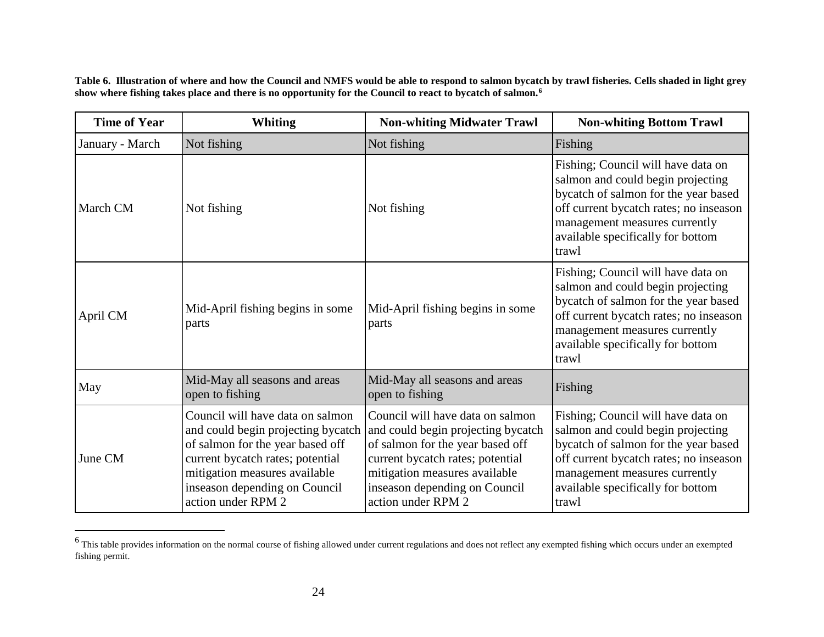<span id="page-23-1"></span>**Table 6. Illustration of where and how the Council and NMFS would be able to respond to salmon bycatch by trawl fisheries. Cells shaded in light grey show where fishing takes place and there is no opportunity for the Council to react to bycatch of salmon.[6](#page-23-1)** 

<span id="page-23-0"></span>

| <b>Time of Year</b> | <b>Whiting</b>                                                                                                                                                                                                                         | <b>Non-whiting Midwater Trawl</b>                                                                                                                                                                                                      | <b>Non-whiting Bottom Trawl</b>                                                                                                                                                                                                          |  |
|---------------------|----------------------------------------------------------------------------------------------------------------------------------------------------------------------------------------------------------------------------------------|----------------------------------------------------------------------------------------------------------------------------------------------------------------------------------------------------------------------------------------|------------------------------------------------------------------------------------------------------------------------------------------------------------------------------------------------------------------------------------------|--|
| January - March     | Not fishing                                                                                                                                                                                                                            | Not fishing                                                                                                                                                                                                                            | Fishing                                                                                                                                                                                                                                  |  |
| March CM            | Not fishing                                                                                                                                                                                                                            | Not fishing                                                                                                                                                                                                                            | Fishing; Council will have data on<br>salmon and could begin projecting<br>bycatch of salmon for the year based<br>off current bycatch rates; no inseason<br>management measures currently<br>available specifically for bottom<br>trawl |  |
| April CM            | Mid-April fishing begins in some<br>parts                                                                                                                                                                                              | Mid-April fishing begins in some<br>parts                                                                                                                                                                                              | Fishing; Council will have data on<br>salmon and could begin projecting<br>bycatch of salmon for the year based<br>off current bycatch rates; no inseason<br>management measures currently<br>available specifically for bottom<br>trawl |  |
| May                 | Mid-May all seasons and areas<br>open to fishing                                                                                                                                                                                       | Mid-May all seasons and areas<br>open to fishing                                                                                                                                                                                       | Fishing                                                                                                                                                                                                                                  |  |
| June CM             | Council will have data on salmon<br>and could begin projecting bycatch<br>of salmon for the year based off<br>current bycatch rates; potential<br>mitigation measures available<br>inseason depending on Council<br>action under RPM 2 | Council will have data on salmon<br>and could begin projecting bycatch<br>of salmon for the year based off<br>current bycatch rates; potential<br>mitigation measures available<br>inseason depending on Council<br>action under RPM 2 | Fishing; Council will have data on<br>salmon and could begin projecting<br>bycatch of salmon for the year based<br>off current bycatch rates; no inseason<br>management measures currently<br>available specifically for bottom<br>trawl |  |

 $6$  This table provides information on the normal course of fishing allowed under current regulations and does not reflect any exempted fishing which occurs under an exempted fishing permit.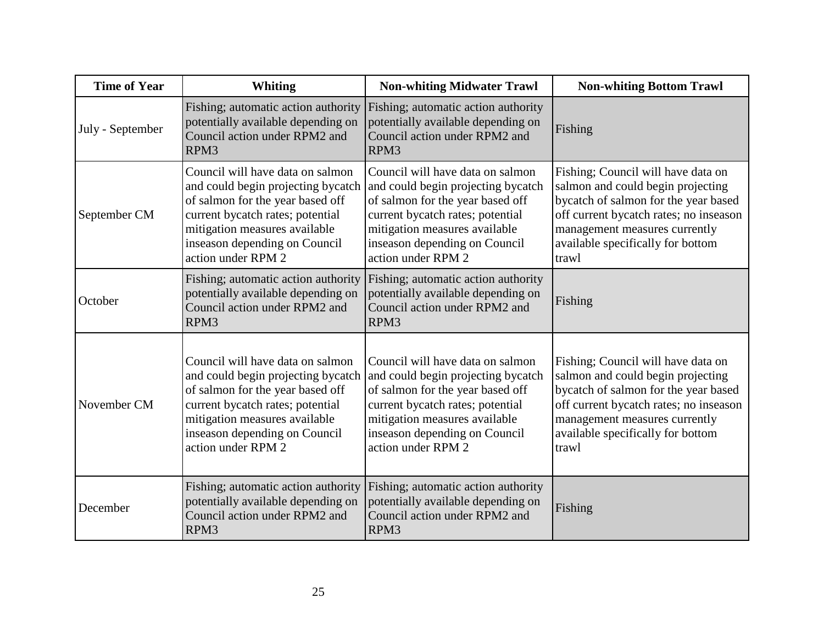| <b>Time of Year</b> | <b>Whiting</b>                                                                                                                                                                                                                         | <b>Non-whiting Midwater Trawl</b>                                                                                                                                                                                                      | <b>Non-whiting Bottom Trawl</b>                                                                                                                                                                                                          |
|---------------------|----------------------------------------------------------------------------------------------------------------------------------------------------------------------------------------------------------------------------------------|----------------------------------------------------------------------------------------------------------------------------------------------------------------------------------------------------------------------------------------|------------------------------------------------------------------------------------------------------------------------------------------------------------------------------------------------------------------------------------------|
| July - September    | Fishing; automatic action authority<br>potentially available depending on<br>Council action under RPM2 and<br>RPM3                                                                                                                     | Fishing; automatic action authority<br>potentially available depending on<br>Council action under RPM2 and<br>RPM3                                                                                                                     | Fishing                                                                                                                                                                                                                                  |
| September CM        | Council will have data on salmon<br>and could begin projecting bycatch<br>of salmon for the year based off<br>current bycatch rates; potential<br>mitigation measures available<br>inseason depending on Council<br>action under RPM 2 | Council will have data on salmon<br>and could begin projecting bycatch<br>of salmon for the year based off<br>current bycatch rates; potential<br>mitigation measures available<br>inseason depending on Council<br>action under RPM 2 | Fishing; Council will have data on<br>salmon and could begin projecting<br>bycatch of salmon for the year based<br>off current bycatch rates; no inseason<br>management measures currently<br>available specifically for bottom<br>trawl |
| October             | Fishing; automatic action authority<br>potentially available depending on<br>Council action under RPM2 and<br>RPM3                                                                                                                     | Fishing; automatic action authority<br>potentially available depending on<br>Council action under RPM2 and<br>RPM3                                                                                                                     | Fishing                                                                                                                                                                                                                                  |
| November CM         | Council will have data on salmon<br>and could begin projecting bycatch<br>of salmon for the year based off<br>current bycatch rates; potential<br>mitigation measures available<br>inseason depending on Council<br>action under RPM 2 | Council will have data on salmon<br>and could begin projecting bycatch<br>of salmon for the year based off<br>current bycatch rates; potential<br>mitigation measures available<br>inseason depending on Council<br>action under RPM 2 | Fishing; Council will have data on<br>salmon and could begin projecting<br>bycatch of salmon for the year based<br>off current bycatch rates; no inseason<br>management measures currently<br>available specifically for bottom<br>trawl |
| December            | Fishing; automatic action authority<br>potentially available depending on<br>Council action under RPM2 and<br>RPM3                                                                                                                     | Fishing; automatic action authority<br>potentially available depending on<br>Council action under RPM2 and<br>RPM3                                                                                                                     | Fishing                                                                                                                                                                                                                                  |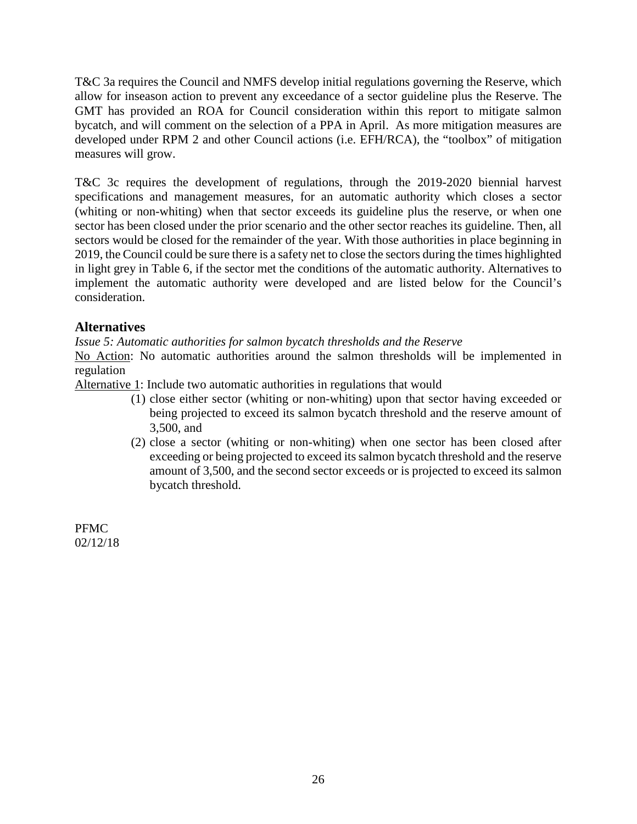T&C 3a requires the Council and NMFS develop initial regulations governing the Reserve, which allow for inseason action to prevent any exceedance of a sector guideline plus the Reserve. The GMT has provided an ROA for Council consideration within this report to mitigate salmon bycatch, and will comment on the selection of a PPA in April. As more mitigation measures are developed under RPM 2 and other Council actions (i.e. EFH/RCA), the "toolbox" of mitigation measures will grow.

T&C 3c requires the development of regulations, through the 2019-2020 biennial harvest specifications and management measures, for an automatic authority which closes a sector (whiting or non-whiting) when that sector exceeds its guideline plus the reserve, or when one sector has been closed under the prior scenario and the other sector reaches its guideline. Then, all sectors would be closed for the remainder of the year. With those authorities in place beginning in 2019, the Council could be sure there is a safety net to close the sectors during the times highlighted in light grey in [Table 6,](#page-23-0) if the sector met the conditions of the automatic authority. Alternatives to implement the automatic authority were developed and are listed below for the Council's consideration.

## **Alternatives**

*Issue 5: Automatic authorities for salmon bycatch thresholds and the Reserve*

No Action: No automatic authorities around the salmon thresholds will be implemented in regulation

Alternative 1: Include two automatic authorities in regulations that would

- (1) close either sector (whiting or non-whiting) upon that sector having exceeded or being projected to exceed its salmon bycatch threshold and the reserve amount of 3,500, and
- (2) close a sector (whiting or non-whiting) when one sector has been closed after exceeding or being projected to exceed its salmon bycatch threshold and the reserve amount of 3,500, and the second sector exceeds or is projected to exceed its salmon bycatch threshold.

PFMC 02/12/18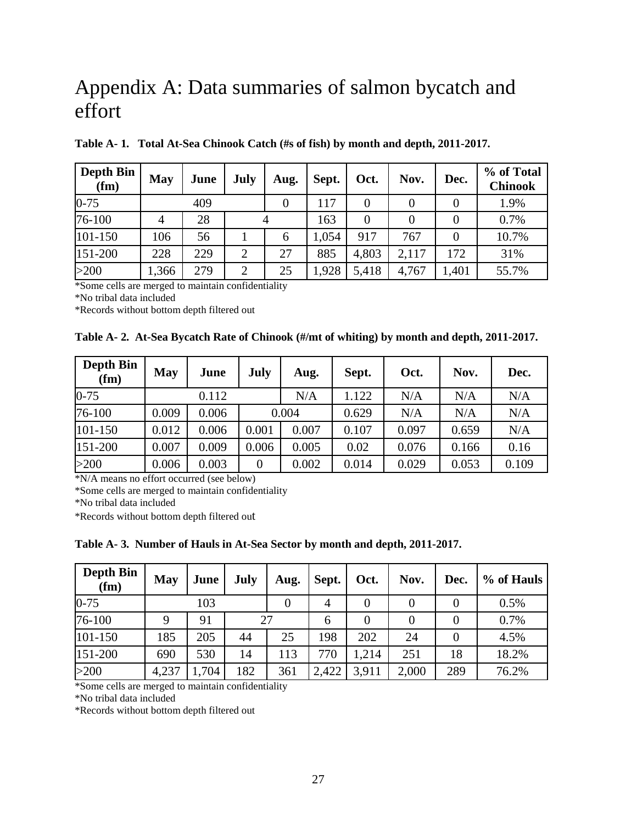# Appendix A: Data summaries of salmon bycatch and effort

| Depth Bin<br>(fm) | <b>May</b> | June | <b>July</b>    | Aug. | Sept. | Oct.  | Nov.  | Dec.     | % of Total<br><b>Chinook</b> |
|-------------------|------------|------|----------------|------|-------|-------|-------|----------|------------------------------|
| $0 - 75$          |            | 409  |                |      | 117   | 0     |       | $\theta$ | 1.9%                         |
| 76-100            | 4          | 28   |                |      | 163   | 0     |       | $\Omega$ | 0.7%                         |
| 101-150           | 106        | 56   |                | 6    | 1,054 | 917   | 767   | $\Omega$ | 10.7%                        |
| 151-200           | 228        | 229  | 2              | 27   | 885   | 4,803 | 2,117 | 172      | 31%                          |
| >200              | .366       | 279  | $\overline{2}$ | 25   | 1,928 | 5,418 | 4,767 | 1,401    | 55.7%                        |

**Table A- 1. Total At-Sea Chinook Catch (#s of fish) by month and depth, 2011-2017.**

\*Some cells are merged to maintain confidentiality

\*No tribal data included

\*Records without bottom depth filtered out

|  |  |  |  | Table A-2. At-Sea Bycatch Rate of Chinook (#/mt of whiting) by month and depth, 2011-2017. |
|--|--|--|--|--------------------------------------------------------------------------------------------|
|--|--|--|--|--------------------------------------------------------------------------------------------|

| <b>Depth Bin</b><br>(fm) | <b>May</b> | June  | <b>July</b> | Aug.  | Sept. | Oct.  | Nov.  | Dec.  |
|--------------------------|------------|-------|-------------|-------|-------|-------|-------|-------|
| $0 - 75$                 |            | 0.112 |             | N/A   | 1.122 | N/A   | N/A   | N/A   |
| 76-100                   | 0.009      | 0.006 |             | 0.004 | 0.629 | N/A   | N/A   | N/A   |
| 101-150                  | 0.012      | 0.006 | 0.001       | 0.007 | 0.107 | 0.097 | 0.659 | N/A   |
| 151-200                  | 0.007      | 0.009 | 0.006       | 0.005 | 0.02  | 0.076 | 0.166 | 0.16  |
| >200                     | 0.006      | 0.003 | 0           | 0.002 | 0.014 | 0.029 | 0.053 | 0.109 |

\*N/A means no effort occurred (see below)

\*Some cells are merged to maintain confidentiality

\*No tribal data included

\*Records without bottom depth filtered out

**Table A- 3. Number of Hauls in At-Sea Sector by month and depth, 2011-2017.**

| <b>Depth Bin</b><br>(fm) | May   | June | July | Aug. | Sept.          | Oct.             | Nov.  | Dec.     | % of Hauls |
|--------------------------|-------|------|------|------|----------------|------------------|-------|----------|------------|
| $0 - 75$                 |       | 103  |      |      | $\overline{4}$ | 0                | 0     | 0        | 0.5%       |
| 76-100                   | 9     | 91   | 27   |      | 6              | $\boldsymbol{0}$ | 0     | 0        | 0.7%       |
| 101-150                  | 185   | 205  | 44   | 25   | 198            | 202              | 24    | $\theta$ | 4.5%       |
| 151-200                  | 690   | 530  | 14   | 113  | 770            | .214             | 251   | 18       | 18.2%      |
| >200                     | 4,237 | .704 | 182  | 361  | 2,422          | 3,911            | 2,000 | 289      | 76.2%      |

\*Some cells are merged to maintain confidentiality

\*No tribal data included

\*Records without bottom depth filtered out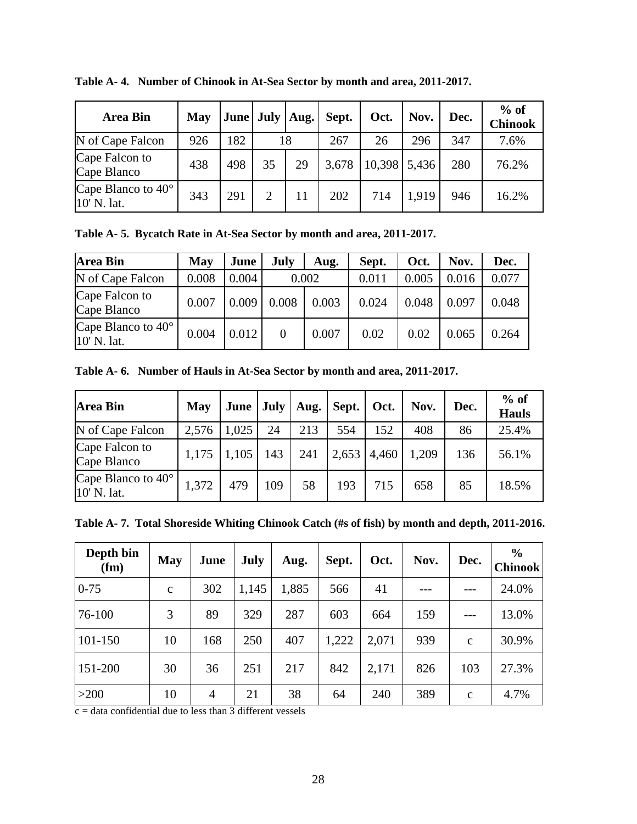| <b>Area Bin</b>                            | May |     | June   July   Aug. |    | Sept. | Oct.         | Nov.  | Dec. | $%$ of<br><b>Chinook</b> |
|--------------------------------------------|-----|-----|--------------------|----|-------|--------------|-------|------|--------------------------|
| N of Cape Falcon                           | 926 | 182 |                    | 18 | 267   | 26           | 296   | 347  | 7.6%                     |
| Cape Falcon to<br>Cape Blanco              | 438 | 498 | 35                 | 29 | 3,678 | 10,398 5,436 |       | 280  | 76.2%                    |
| Cape Blanco to $40^{\circ}$<br>10' N. lat. | 343 | 291 | $\mathcal{D}$      | 11 | 202   | 714          | 1,919 | 946  | 16.2%                    |

**Table A- 4. Number of Chinook in At-Sea Sector by month and area, 2011-2017.**

**Table A- 5. Bycatch Rate in At-Sea Sector by month and area, 2011-2017.**

| <b>Area Bin</b>                            | May   | June  | <b>July</b>    | Aug.  | Sept. | Oct.  | Nov.  | Dec.  |
|--------------------------------------------|-------|-------|----------------|-------|-------|-------|-------|-------|
| N of Cape Falcon                           | 0.008 | 0.004 |                | 0.002 | 0.011 | 0.005 | 0.016 | 0.077 |
| Cape Falcon to<br>Cape Blanco              | 0.007 | 0.009 | 0.008          | 0.003 | 0.024 | 0.048 | 0.097 | 0.048 |
| Cape Blanco to $40^{\circ}$<br>10' N. lat. | 0.004 | 0.012 | $\overline{0}$ | 0.007 | 0.02  | 0.02  | 0.065 | 0.264 |

**Table A- 6. Number of Hauls in At-Sea Sector by month and area, 2011-2017.**

| <b>Area Bin</b>                            | <b>May</b> | <b>June</b> | July |     | Aug.   Sept. | Oct.  | Nov.  | Dec. | $%$ of<br><b>Hauls</b> |
|--------------------------------------------|------------|-------------|------|-----|--------------|-------|-------|------|------------------------|
| N of Cape Falcon                           | 2,576      | 1,025       | 24   | 213 | 554          | 152   | 408   | 86   | 25.4%                  |
| Cape Falcon to<br>Cape Blanco              | 1,175      | 1,105       | 143  | 241 | 2,653        | 4,460 | 1,209 | 136  | 56.1%                  |
| Cape Blanco to $40^{\circ}$<br>10' N. lat. | 1,372      | 479         | 109  | 58  | 193          | 715   | 658   | 85   | 18.5%                  |

**Table A- 7. Total Shoreside Whiting Chinook Catch (#s of fish) by month and depth, 2011-2016.**

| Depth bin<br>(fm) | <b>May</b>   | June           | <b>July</b> | Aug.  | Sept. | Oct.  | Nov. | Dec.         | $\frac{6}{9}$<br><b>Chinook</b> |
|-------------------|--------------|----------------|-------------|-------|-------|-------|------|--------------|---------------------------------|
| $0 - 75$          | $\mathbf{C}$ | 302            | 1,145       | 1,885 | 566   | 41    |      |              | 24.0%                           |
| 76-100            | 3            | 89             | 329         | 287   | 603   | 664   | 159  |              | 13.0%                           |
| 101-150           | 10           | 168            | 250         | 407   | 1,222 | 2,071 | 939  | $\mathbf{C}$ | 30.9%                           |
| 151-200           | 30           | 36             | 251         | 217   | 842   | 2,171 | 826  | 103          | 27.3%                           |
| $>200$            | 10           | $\overline{4}$ | 21          | 38    | 64    | 240   | 389  | $\mathbf{C}$ | 4.7%                            |

 $\overline{c}$  = data confidential due to less than 3 different vessels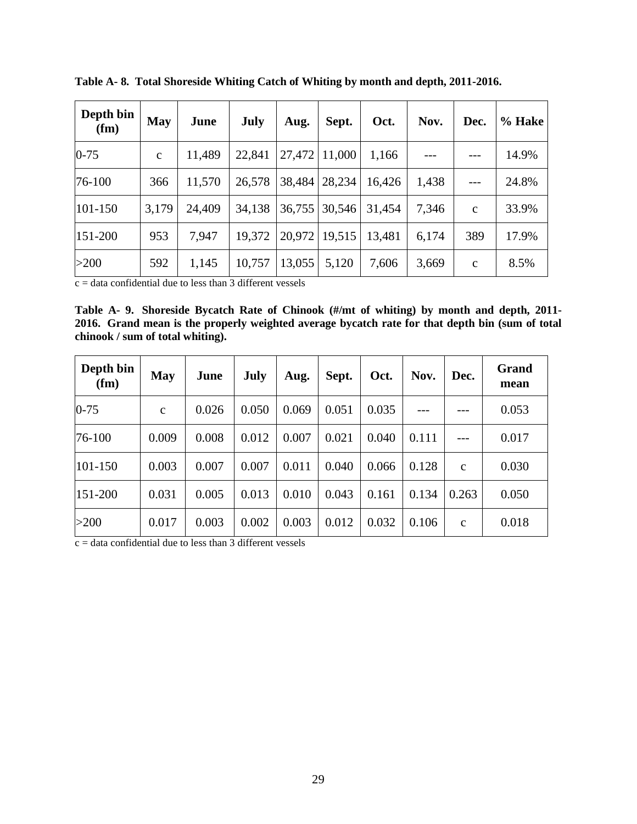| Depth bin<br>(fm) | <b>May</b>   | June   | July   | Aug.   | Sept.  | Oct.   | Nov.  | Dec.         | % Hake |
|-------------------|--------------|--------|--------|--------|--------|--------|-------|--------------|--------|
| $0 - 75$          | $\mathbf{C}$ | 11,489 | 22,841 | 27,472 | 11,000 | 1,166  |       |              | 14.9%  |
| 76-100            | 366          | 11,570 | 26,578 | 38,484 | 28,234 | 16,426 | 1,438 |              | 24.8%  |
| $101 - 150$       | 3,179        | 24,409 | 34,138 | 36,755 | 30,546 | 31,454 | 7,346 | $\mathbf{C}$ | 33.9%  |
| $151 - 200$       | 953          | 7,947  | 19,372 | 20,972 | 19,515 | 13,481 | 6,174 | 389          | 17.9%  |
| $>200$            | 592          | 1,145  | 10,757 | 13,055 | 5,120  | 7,606  | 3,669 | $\mathbf{c}$ | 8.5%   |

**Table A- 8. Total Shoreside Whiting Catch of Whiting by month and depth, 2011-2016.**

 $c =$  data confidential due to less than 3 different vessels

**Table A- 9. Shoreside Bycatch Rate of Chinook (#/mt of whiting) by month and depth, 2011- 2016. Grand mean is the properly weighted average bycatch rate for that depth bin (sum of total chinook / sum of total whiting).**

| Depth bin<br>(fm) | <b>May</b>  | June  | July  | Aug.  | Sept. | Oct.  | Nov.  | Dec.         | Grand<br>mean |
|-------------------|-------------|-------|-------|-------|-------|-------|-------|--------------|---------------|
| $0 - 75$          | $\mathbf c$ | 0.026 | 0.050 | 0.069 | 0.051 | 0.035 |       |              | 0.053         |
| 76-100            | 0.009       | 0.008 | 0.012 | 0.007 | 0.021 | 0.040 | 0.111 |              | 0.017         |
| 101-150           | 0.003       | 0.007 | 0.007 | 0.011 | 0.040 | 0.066 | 0.128 | $\mathbf{C}$ | 0.030         |
| $151 - 200$       | 0.031       | 0.005 | 0.013 | 0.010 | 0.043 | 0.161 | 0.134 | 0.263        | 0.050         |
| >200              | 0.017       | 0.003 | 0.002 | 0.003 | 0.012 | 0.032 | 0.106 | $\mathbf c$  | 0.018         |

 $\overline{c}$  = data confidential due to less than 3 different vessels